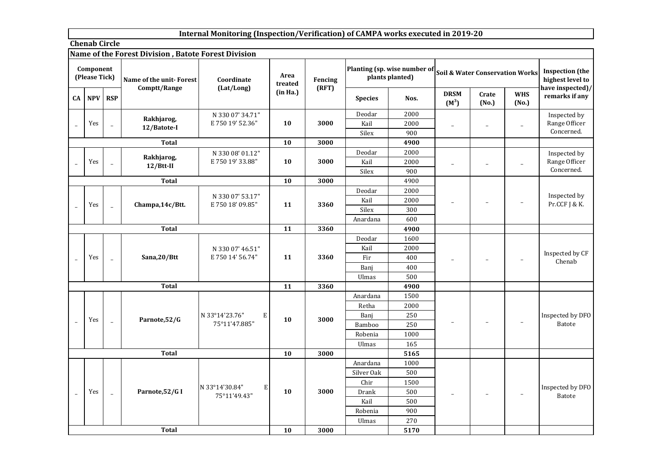## **Internal Monitoring (Inspection/Verification) of CAMPA works executed in 2019-20**

**Chenab Circle**

## **Name of the Forest Division , Batote Forest Division**

|                | Component<br>(Please Tick) |                | <u>Name of the Forest Division, batole Forest Division</u><br>Name of the unit-Forest<br>Comptt/Range | Coordinate<br>(Lat/Long)                    | Area<br>treated | Fencing<br>(RFT) |                | Planting (sp. wise number of<br>plants planted) |                          |                          | <b>Soil &amp; Water Conservation Works</b> | <b>Inspection (the</b><br>highest level to<br>have inspected)/ |
|----------------|----------------------------|----------------|-------------------------------------------------------------------------------------------------------|---------------------------------------------|-----------------|------------------|----------------|-------------------------------------------------|--------------------------|--------------------------|--------------------------------------------|----------------------------------------------------------------|
| CA             | <b>NPV</b>                 | <b>RSP</b>     |                                                                                                       |                                             | (in Ha.)        |                  | <b>Species</b> | Nos.                                            | <b>DRSM</b><br>$(M^3)$   | Crate<br>(No.)           | <b>WHS</b><br>(No.)                        | remarks if any                                                 |
|                |                            |                |                                                                                                       | N 330 07' 34.71"                            |                 |                  | Deodar         | 2000                                            |                          |                          |                                            | Inspected by                                                   |
|                | Yes                        | $\equiv$       | Rakhjarog,<br>12/Batote-I                                                                             | E 750 19' 52.36"                            | 10              | 3000             | Kail           | 2000                                            | $\overline{\phantom{a}}$ | $\qquad \qquad -$        |                                            | Range Officer                                                  |
|                |                            |                |                                                                                                       |                                             |                 |                  | Silex          | 900                                             |                          |                          |                                            | Concerned.                                                     |
|                |                            |                | <b>Total</b>                                                                                          |                                             | 10              | 3000             |                | 4900                                            |                          |                          |                                            |                                                                |
|                |                            |                | Rakhjarog,                                                                                            | N 330 08' 01.12"                            |                 |                  | Deodar         | 2000                                            |                          |                          |                                            | Inspected by                                                   |
|                | Yes                        | $\equiv$       | 12/2                                                                                                  | E 750 19' 33.88"                            | 10              | 3000             | Kail           | 2000                                            |                          | $\overline{\phantom{a}}$ | Ĭ.                                         | Range Officer                                                  |
|                |                            |                |                                                                                                       |                                             |                 |                  | Silex          | 900                                             |                          |                          |                                            | Concerned.                                                     |
|                |                            |                | <b>Total</b>                                                                                          |                                             | 10              | 3000             |                | 4900                                            |                          |                          |                                            |                                                                |
|                |                            |                |                                                                                                       |                                             |                 |                  | Deodar         | 2000                                            |                          |                          |                                            | Inspected by                                                   |
|                |                            |                | Champa, 14c/Btt.                                                                                      | N 330 07' 53.17"<br>E 750 18' 09.85"        | 11              | 3360             | Kail           | 2000                                            |                          | $\qquad \qquad -$        |                                            | Pr.CCF J & K.                                                  |
|                | Yes                        | $\overline{a}$ |                                                                                                       |                                             |                 |                  | Silex          | 300                                             |                          |                          |                                            |                                                                |
|                |                            |                |                                                                                                       |                                             |                 |                  | Anardana       | 600                                             |                          |                          |                                            |                                                                |
|                |                            |                | <b>Total</b>                                                                                          |                                             | 11              | 3360             |                | 4900                                            |                          |                          |                                            |                                                                |
|                |                            |                |                                                                                                       |                                             |                 |                  | Deodar         | 1600                                            |                          |                          |                                            |                                                                |
|                |                            |                |                                                                                                       | N 330 07' 46.51"                            |                 |                  | Kail           | 2000                                            |                          |                          |                                            |                                                                |
|                | Yes                        | $\equiv$       | Sana,20/Btt                                                                                           | E 750 14' 56.74"                            | 11              | 3360             | Fir            | 400                                             |                          |                          |                                            | Inspected by CF<br>Chenab                                      |
|                |                            |                |                                                                                                       |                                             |                 |                  | Banj           | 400                                             |                          |                          |                                            |                                                                |
|                |                            |                |                                                                                                       |                                             |                 |                  | <b>Ulmas</b>   | 500                                             |                          |                          |                                            |                                                                |
|                |                            |                | <b>Total</b>                                                                                          |                                             | 11              | 3360             |                | 4900                                            |                          |                          |                                            |                                                                |
|                |                            |                |                                                                                                       |                                             |                 |                  | Anardana       | 1500                                            |                          |                          |                                            |                                                                |
|                |                            |                |                                                                                                       |                                             |                 |                  | Retha          | 2000                                            |                          |                          |                                            |                                                                |
|                | Yes                        |                | Parnote, 52/G                                                                                         | N 33°14'23.76"<br>E                         | 10              | 3000             | Banj           | 250                                             |                          |                          |                                            | Inspected by DFO                                               |
|                |                            | $\bar{a}$      |                                                                                                       | 75°11'47.885"                               |                 |                  | Bamboo         | 250                                             |                          | $\qquad \qquad -$        |                                            | <b>Batote</b>                                                  |
|                |                            |                |                                                                                                       |                                             |                 |                  | Robenia        | 1000                                            |                          |                          |                                            |                                                                |
|                |                            |                |                                                                                                       |                                             |                 |                  | Ulmas          | 165                                             |                          |                          |                                            |                                                                |
|                |                            |                | <b>Total</b>                                                                                          |                                             | 10              | 3000             |                | 5165                                            |                          |                          |                                            |                                                                |
|                |                            |                |                                                                                                       |                                             |                 |                  | Anardana       | 1000                                            |                          |                          |                                            |                                                                |
|                |                            |                |                                                                                                       |                                             |                 |                  | Silver Oak     | 500                                             |                          |                          |                                            |                                                                |
|                |                            |                |                                                                                                       |                                             |                 |                  | Chir           | 1500                                            |                          |                          |                                            |                                                                |
| $\overline{a}$ | Yes                        | $\equiv$       | Parnote, 52/G I                                                                                       | N 33°14'30.84"<br>${\bf E}$<br>75°11'49.43" | 10              | 3000             | Drank          | 500                                             |                          | $\qquad \qquad -$        |                                            | Inspected by DFO<br><b>Batote</b>                              |
|                |                            |                |                                                                                                       |                                             |                 | Kail             | 500            |                                                 |                          |                          |                                            |                                                                |
|                |                            |                |                                                                                                       |                                             |                 |                  | Robenia        | 900                                             |                          |                          |                                            |                                                                |
|                |                            |                |                                                                                                       |                                             |                 |                  | <b>Ulmas</b>   | 270                                             |                          |                          |                                            |                                                                |
|                |                            |                | <b>Total</b>                                                                                          |                                             | 10              | 3000             |                | 5170                                            |                          |                          |                                            |                                                                |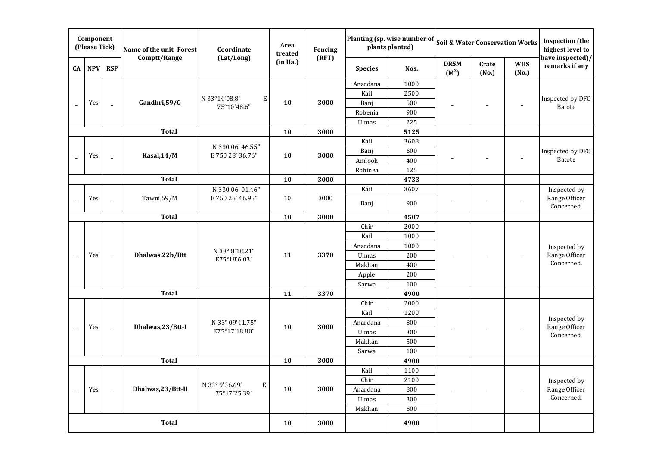|    | Component<br>(Please Tick)                             |                          | Name of the unit-Forest | Coordinate                        | Area<br>treated | Fencing  |                | Planting (sp. wise number of<br>plants planted) |                          | <b>Soil &amp; Water Conservation Works</b> |                     | <b>Inspection</b> (the<br>highest level to |
|----|--------------------------------------------------------|--------------------------|-------------------------|-----------------------------------|-----------------|----------|----------------|-------------------------------------------------|--------------------------|--------------------------------------------|---------------------|--------------------------------------------|
| CA | NPV RSP                                                |                          | Comptt/Range            | (Lat/Long)                        | (in Ha.)        | (RFT)    | <b>Species</b> | Nos.                                            | <b>DRSM</b><br>$(M^3)$   | Crate<br>(No.)                             | <b>WHS</b><br>(No.) | have inspected)/<br>remarks if any         |
|    |                                                        |                          |                         |                                   |                 |          | Anardana       | 1000                                            |                          |                                            |                     |                                            |
|    |                                                        |                          |                         |                                   |                 |          | Kail           | 2500                                            |                          |                                            |                     |                                            |
|    | Yes                                                    | $\equiv$                 | Gandhri, 59/G           | N 33°14'08.8"<br>Е<br>75°10'48.6" | 10              | 3000     | Banj           | 500                                             |                          | $\qquad \qquad -$                          | $\qquad \qquad -$   | Inspected by DFO<br>Batote                 |
|    |                                                        |                          |                         |                                   |                 |          | Robenia        | 900                                             |                          |                                            |                     |                                            |
|    |                                                        |                          |                         |                                   |                 |          | Ulmas          | 225                                             |                          |                                            |                     |                                            |
|    |                                                        |                          | <b>Total</b>            |                                   | 10              | 3000     |                | 5125                                            |                          |                                            |                     |                                            |
|    |                                                        |                          |                         | N 330 06' 46.55"                  |                 |          | Kail           | 3608                                            |                          |                                            |                     |                                            |
|    | Yes                                                    |                          | Kasal, 14/M             | E 750 28' 36.76"                  | 10              | 3000     | Banj           | 600                                             |                          |                                            |                     | Inspected by DFO                           |
|    |                                                        |                          |                         |                                   |                 |          | Amlook         | 400                                             |                          |                                            |                     | Batote                                     |
|    |                                                        |                          |                         |                                   |                 |          | Robinea        | 125                                             |                          |                                            |                     |                                            |
|    |                                                        |                          | <b>Total</b>            |                                   | 10              | 3000     |                | 4733                                            |                          |                                            |                     |                                            |
|    | Tawni, 59/M<br>Yes                                     |                          |                         | N 330 06' 01.46"                  |                 |          | Kail           | 3607                                            |                          |                                            |                     | Inspected by                               |
|    |                                                        |                          |                         | E 750 25' 46.95"                  | 10              | 3000     | Banj           | 900                                             | $\overline{\phantom{m}}$ | $\qquad \qquad -$                          | ۳                   | Range Officer<br>Concerned.                |
|    |                                                        |                          | <b>Total</b>            |                                   | 10              | 3000     |                | 4507                                            |                          |                                            |                     |                                            |
|    |                                                        |                          |                         |                                   |                 |          | Chir           | 2000                                            |                          |                                            |                     |                                            |
|    |                                                        |                          |                         |                                   |                 |          | Kail           | 1000                                            |                          |                                            |                     |                                            |
|    |                                                        |                          |                         | N 33° 8'18.21"                    |                 |          | Anardana       | 1000                                            |                          |                                            |                     | Inspected by                               |
|    | Yes                                                    | $\overline{\phantom{a}}$ | Dhalwas,22b/Btt         | E75°18'6.03"                      | 11              | 3370     | Ulmas          | 200                                             |                          |                                            |                     | Range Officer                              |
|    |                                                        |                          |                         |                                   |                 |          | Makhan         | 400                                             |                          |                                            |                     | Concerned.                                 |
|    |                                                        |                          |                         |                                   |                 |          | Apple          | 200                                             |                          |                                            |                     |                                            |
|    |                                                        |                          |                         |                                   |                 |          | Sarwa          | 100                                             |                          |                                            |                     |                                            |
|    |                                                        |                          | <b>Total</b>            |                                   | 11              | 3370     |                | 4900                                            |                          |                                            |                     |                                            |
|    |                                                        |                          |                         |                                   |                 |          | Chir           | 2000                                            |                          |                                            |                     |                                            |
|    |                                                        |                          |                         |                                   |                 |          | Kail           | 1200                                            |                          |                                            |                     | Inspected by                               |
|    | Yes                                                    |                          | Dhalwas,23/Btt-I        | N 33° 09'41.75"                   | 10              | 3000     | Anardana       | 800                                             |                          |                                            |                     | Range Officer                              |
|    |                                                        | $\equiv$                 |                         | E75°17'18.80"                     |                 |          | Ulmas          | 300                                             |                          | $\qquad \qquad -$                          |                     | Concerned.                                 |
|    |                                                        |                          |                         |                                   |                 |          | Makhan         | 500                                             |                          |                                            |                     |                                            |
|    |                                                        |                          |                         |                                   |                 |          | Sarwa          | 100                                             |                          |                                            |                     |                                            |
|    |                                                        |                          | <b>Total</b>            |                                   | 10              | 3000     |                | 4900                                            |                          |                                            |                     |                                            |
|    |                                                        |                          |                         |                                   |                 |          | Kail           | 1100                                            |                          |                                            |                     |                                            |
|    | $\, {\bf E}$<br>N 33° 9'36.69"                         |                          |                         |                                   |                 | Chir     | 2100           |                                                 |                          |                                            | Inspected by        |                                            |
|    | Dhalwas, 23/Btt-II<br>Yes<br>$\bar{a}$<br>75°17'25.39" |                          |                         | 10                                | 3000            | Anardana | 800            |                                                 |                          |                                            | Range Officer       |                                            |
|    |                                                        |                          |                         |                                   |                 |          | Ulmas          | 300                                             |                          |                                            |                     | Concerned.                                 |
|    |                                                        |                          |                         |                                   |                 |          | Makhan         | 600                                             |                          |                                            |                     |                                            |
|    |                                                        |                          | <b>Total</b>            |                                   | 10              | 3000     |                | 4900                                            |                          |                                            |                     |                                            |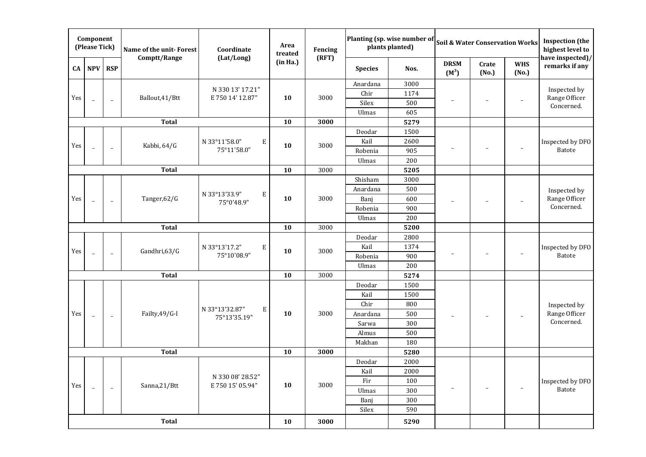|     | Component<br>(Please Tick) |                          | Name of the unit-Forest | Coordinate                           | Area<br>treated | Fencing |                | Planting (sp. wise number of<br>plants planted) |                          |                          | <b>Soil &amp; Water Conservation Works</b> | <b>Inspection</b> (the<br>highest level to |
|-----|----------------------------|--------------------------|-------------------------|--------------------------------------|-----------------|---------|----------------|-------------------------------------------------|--------------------------|--------------------------|--------------------------------------------|--------------------------------------------|
| CA  | <b>NPV</b>                 | <b>RSP</b>               | Comptt/Range            | (Lat/Long)                           | (in Ha.)        | (RFT)   | <b>Species</b> | Nos.                                            | <b>DRSM</b><br>$(M^3)$   | Crate<br>(No.)           | <b>WHS</b><br>(No.)                        | have inspected)/<br>remarks if any         |
|     |                            |                          |                         |                                      |                 |         | Anardana       | 3000                                            |                          |                          |                                            |                                            |
| Yes |                            |                          | Ballout, 41/Btt         | N 330 13' 17.21"<br>E 750 14' 12.87" | 10              | 3000    | Chir           | 1174                                            |                          |                          |                                            | Inspected by<br>Range Officer              |
|     | $\equiv$                   | $\equiv$                 |                         |                                      |                 |         | Silex          | 500                                             | $\overline{\phantom{0}}$ | $\overline{a}$           | $\overline{a}$                             | Concerned.                                 |
|     |                            |                          |                         |                                      |                 |         | Ulmas          | 605                                             |                          |                          |                                            |                                            |
|     |                            |                          | <b>Total</b>            |                                      | 10              | 3000    |                | 5279                                            |                          |                          |                                            |                                            |
|     |                            |                          |                         |                                      |                 |         | Deodar         | 1500                                            |                          |                          |                                            |                                            |
| Yes |                            |                          | Kabbi, 64/G             | E<br>N 33°11'58.0"                   | 10              | 3000    | Kail           | 2600                                            |                          |                          |                                            | Inspected by DFO                           |
|     | $\overline{a}$             | $\overline{\phantom{a}}$ |                         | 75°11'58.0"                          |                 |         | Robenia        | 905                                             |                          | $\overline{\phantom{a}}$ | -                                          | Batote                                     |
|     |                            |                          |                         |                                      |                 |         | Ulmas          | 200                                             |                          |                          |                                            |                                            |
|     |                            |                          | <b>Total</b>            |                                      | 10              | 3000    |                | 5205                                            |                          |                          |                                            |                                            |
|     |                            |                          |                         |                                      |                 |         | Shisham        | 3000                                            |                          |                          |                                            |                                            |
|     |                            |                          |                         | N 33°13'33.9"<br>E                   |                 |         | Anardana       | 500                                             |                          |                          |                                            | Inspected by                               |
| Yes | $\overline{a}$             | $\overline{\phantom{a}}$ | Tanger, 62/G            | 75°0'48.9"                           | 10              | 3000    | Banj           | 600                                             |                          |                          |                                            | Range Officer                              |
|     |                            |                          |                         |                                      |                 |         | Robenia        | 900                                             |                          |                          |                                            | Concerned.                                 |
|     |                            |                          |                         |                                      |                 |         | Ulmas          | 200                                             |                          |                          |                                            |                                            |
|     |                            |                          | <b>Total</b>            |                                      | 10              | 3000    |                | 5200                                            |                          |                          |                                            |                                            |
|     |                            |                          |                         |                                      |                 |         | Deodar         | 2800                                            |                          |                          |                                            |                                            |
| Yes | ÷.                         | ÷                        | Gandhri, 63/G           | N 33°13'17.2"<br>E                   | 10              | 3000    | Kail           | 1374                                            |                          |                          |                                            | Inspected by DFO                           |
|     |                            |                          |                         | 75°10'08.9"                          |                 |         | Robenia        | 900                                             |                          |                          |                                            | <b>Batote</b>                              |
|     |                            |                          |                         |                                      |                 |         | Ulmas          | 200                                             |                          |                          |                                            |                                            |
|     |                            |                          | <b>Total</b>            |                                      | 10              | 3000    |                | 5274                                            |                          |                          |                                            |                                            |
|     |                            |                          |                         |                                      |                 |         | Deodar         | 1500                                            |                          |                          |                                            |                                            |
|     |                            |                          |                         |                                      |                 |         | Kail           | 1500                                            |                          |                          |                                            |                                            |
|     |                            |                          |                         | N 33°13'32.87"<br>${\bf E}$          |                 |         | Chir           | 800                                             |                          |                          |                                            | Inspected by                               |
| Yes | $\overline{\phantom{a}}$   | $\overline{\phantom{a}}$ | Failty, 49/G-I          | 75°13'35.19"                         | 10              | 3000    | Anardana       | 500                                             |                          | $\qquad \qquad -$        |                                            | Range Officer                              |
|     |                            |                          |                         |                                      |                 |         | Sarwa          | 300                                             |                          |                          |                                            | Concerned.                                 |
|     |                            |                          |                         |                                      |                 |         | Almus          | 500                                             |                          |                          |                                            |                                            |
|     |                            |                          |                         |                                      |                 |         | Makhan         | 180                                             |                          |                          |                                            |                                            |
|     |                            |                          | <b>Total</b>            |                                      | 10              | 3000    |                | 5280                                            |                          |                          |                                            |                                            |
|     |                            |                          |                         |                                      |                 |         | Deodar         | 2000                                            |                          |                          |                                            |                                            |
|     |                            |                          |                         | N 330 08' 28.52"                     |                 |         | Kail           | 2000                                            |                          |                          |                                            |                                            |
| Yes | $\overline{\phantom{a}}$   | $\overline{\phantom{a}}$ | Sanna,21/Btt            | E 750 15' 05.94"                     | 10              | 3000    | Fir            | 100                                             |                          | $\overline{\phantom{0}}$ |                                            | Inspected by DFO<br><b>Batote</b>          |
|     |                            |                          |                         |                                      |                 |         | Ulmas          | 300                                             |                          |                          |                                            |                                            |
|     |                            |                          |                         |                                      |                 |         | Banj           | 300                                             |                          |                          |                                            |                                            |
|     |                            |                          |                         |                                      |                 |         | Silex          | 590                                             |                          |                          |                                            |                                            |
|     |                            |                          | <b>Total</b>            |                                      | 10              | 3000    |                | 5290                                            |                          |                          |                                            |                                            |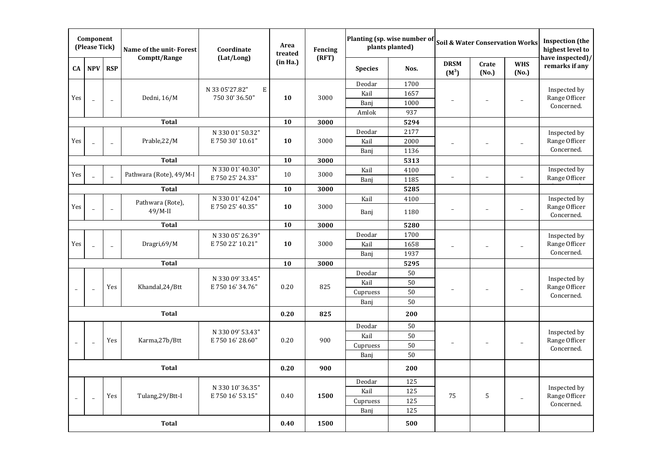|                          | Component<br>(Please Tick)                                       |                | Name of the unit-Forest | Coordinate                            | Area<br>treated | Fencing |                | Planting (sp. wise number of<br>plants planted) |                          | <b>Soil &amp; Water Conservation Works</b> |                          | <b>Inspection</b> (the<br>highest level to |
|--------------------------|------------------------------------------------------------------|----------------|-------------------------|---------------------------------------|-----------------|---------|----------------|-------------------------------------------------|--------------------------|--------------------------------------------|--------------------------|--------------------------------------------|
| CA                       | NPV                                                              | <b>RSP</b>     | Comptt/Range            | (Lat/Long)                            | (in Ha.)        | (RFT)   | <b>Species</b> | Nos.                                            | <b>DRSM</b><br>$(M^3)$   | Crate<br>(No.)                             | <b>WHS</b><br>(No.)      | have inspected)/<br>remarks if any         |
|                          |                                                                  |                |                         |                                       |                 |         | Deodar         | 1700                                            |                          |                                            |                          |                                            |
| Yes                      |                                                                  |                | Dedni, 16/M             | N 33 05'27.82"<br>Ε<br>750 30' 36.50" | 10              | 3000    | Kail           | 1657                                            |                          |                                            |                          | Inspected by<br>Range Officer              |
|                          |                                                                  | $\sim$         |                         |                                       |                 |         | Banj           | 1000                                            |                          | -                                          |                          | Concerned.                                 |
|                          |                                                                  |                |                         |                                       |                 |         | Amlok          | 937                                             |                          |                                            |                          |                                            |
|                          |                                                                  |                | <b>Total</b>            |                                       | 10              | 3000    |                | 5294                                            |                          |                                            |                          |                                            |
|                          |                                                                  |                |                         | N 330 01' 50.32"                      |                 |         | Deodar         | 2177                                            |                          |                                            |                          | Inspected by                               |
| Yes                      |                                                                  |                | Prable, 22/M            | E 750 30' 10.61"                      | 10              | 3000    | Kail           | 2000                                            |                          |                                            |                          | Range Officer                              |
|                          |                                                                  |                |                         |                                       |                 |         | Banj           | 1136                                            |                          |                                            |                          | Concerned.                                 |
|                          |                                                                  |                | <b>Total</b>            |                                       | 10              | 3000    |                | 5313                                            |                          |                                            |                          |                                            |
| Yes                      |                                                                  | $\overline{a}$ | Pathwara (Rote), 49/M-I | N 330 01' 40.30"                      | 10              | 3000    | Kail           | 4100                                            |                          |                                            |                          | Inspected by                               |
|                          |                                                                  |                |                         | E 750 25' 24.33"                      |                 |         | Banj           | 1185                                            | $\overline{\phantom{a}}$ | $\overline{\phantom{a}}$                   | $\overline{\phantom{a}}$ | Range Officer                              |
|                          |                                                                  |                | <b>Total</b>            |                                       | 10              | 3000    |                | 5285                                            |                          |                                            |                          |                                            |
|                          | Pathwara (Rote),<br>E 750 25' 40.35"<br>$\overline{\phantom{a}}$ |                |                         | N 330 01' 42.04"                      |                 |         | Kail           | 4100                                            |                          |                                            |                          | Inspected by                               |
| Yes                      |                                                                  |                | $49/M$ -II              |                                       | 10              | 3000    | Banj           | 1180                                            | $\overline{\phantom{a}}$ | $\overline{\phantom{a}}$                   | $\overline{\phantom{a}}$ | Range Officer<br>Concerned.                |
|                          | <b>Total</b>                                                     |                |                         |                                       | 10              | 3000    |                | 5280                                            |                          |                                            |                          |                                            |
|                          |                                                                  |                |                         | N 330 05' 26.39"                      |                 |         | Deodar         | 1700                                            |                          |                                            |                          | Inspected by                               |
| Yes                      |                                                                  | $\overline{a}$ | Dragri,69/M             | E 750 22' 10.21"                      | 10              | 3000    | Kail           | 1658                                            | ۰                        | -                                          |                          | Range Officer                              |
|                          |                                                                  |                |                         |                                       |                 |         | Banj           | 1937                                            |                          |                                            |                          | Concerned.                                 |
|                          |                                                                  |                | <b>Total</b>            |                                       | 10              | 3000    |                | 5295                                            |                          |                                            |                          |                                            |
|                          |                                                                  |                |                         |                                       |                 |         | Deodar         | 50                                              |                          |                                            |                          |                                            |
|                          |                                                                  | Yes            | Khandal, 24/Btt         | N 330 09' 33.45"<br>E 750 16' 34.76"  | 0.20            | 825     | Kail           | 50                                              |                          |                                            |                          | Inspected by<br>Range Officer              |
|                          | $\overline{\phantom{a}}$                                         |                |                         |                                       |                 |         | Cupruess       | 50                                              |                          |                                            |                          | Concerned.                                 |
|                          |                                                                  |                |                         |                                       |                 |         | Banj           | 50                                              |                          |                                            |                          |                                            |
|                          |                                                                  |                | <b>Total</b>            |                                       | 0.20            | 825     |                | 200                                             |                          |                                            |                          |                                            |
|                          |                                                                  |                |                         | N 330 09' 53.43"                      |                 |         | Deodar         | 50                                              |                          |                                            |                          | Inspected by                               |
|                          |                                                                  | Yes            | Karma,27b/Btt           | E 750 16' 28.60"                      | 0.20            | 900     | Kail           | 50                                              |                          |                                            |                          | Range Officer                              |
| $\overline{\phantom{0}}$ | $\overline{\phantom{a}}$                                         |                |                         |                                       |                 |         | Cupruess       | 50                                              |                          | -                                          | ÷                        | Concerned.                                 |
|                          |                                                                  |                |                         |                                       |                 |         | Banj           | 50                                              |                          |                                            |                          |                                            |
|                          | <b>Total</b>                                                     |                |                         |                                       | 0.20            | 900     |                | 200                                             |                          |                                            |                          |                                            |
|                          |                                                                  |                |                         |                                       |                 |         | Deodar         | 125                                             |                          |                                            |                          |                                            |
|                          | N 330 10' 36.35"                                                 |                |                         |                                       |                 |         | Kail           | 125                                             |                          |                                            |                          | Inspected by                               |
| $\overline{\phantom{a}}$ | $\overline{\phantom{a}}$                                         | Yes            | Tulang, 29/Btt-I        | E 750 16' 53.15"                      | 0.40            | 1500    | Cupruess       | 125                                             | 75                       | $\mathsf S$                                | $\overline{a}$           | Range Officer<br>Concerned.                |
|                          |                                                                  |                |                         |                                       |                 |         | Banj           | 125                                             |                          |                                            |                          |                                            |
|                          |                                                                  |                | <b>Total</b>            |                                       | 0.40            | 1500    |                | 500                                             |                          |                                            |                          |                                            |
|                          |                                                                  |                |                         |                                       |                 |         |                |                                                 |                          |                                            |                          |                                            |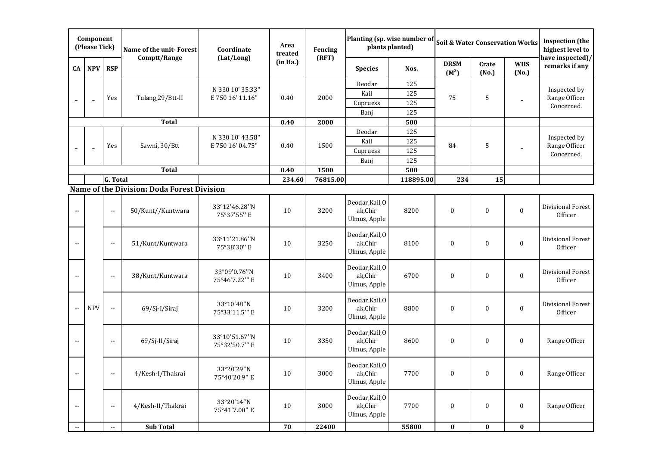|                                               | Component<br>(Please Tick) |                                               | Name of the unit-Forest                    | Coordinate                           | Area<br>treated | Fencing  |                                            | Planting (sp. wise number of<br>plants planted) | <b>Soil &amp; Water Conservation Works</b> |                  |                          | <b>Inspection</b> (the<br>highest level to |
|-----------------------------------------------|----------------------------|-----------------------------------------------|--------------------------------------------|--------------------------------------|-----------------|----------|--------------------------------------------|-------------------------------------------------|--------------------------------------------|------------------|--------------------------|--------------------------------------------|
| CA                                            | <b>NPV</b>                 | <b>RSP</b>                                    | Comptt/Range                               | (Lat/Long)                           | (in Ha.)        | (RFT)    | <b>Species</b>                             | Nos.                                            | <b>DRSM</b><br>$(M^3)$                     | Crate<br>(No.)   | <b>WHS</b><br>(No.)      | have inspected)/<br>remarks if any         |
|                                               |                            |                                               |                                            |                                      |                 |          | Deodar                                     | 125                                             |                                            |                  |                          |                                            |
|                                               |                            | Yes                                           | Tulang, 29/Btt-II                          | N 330 10' 35.33"<br>E 750 16' 11.16" | 0.40            | 2000     | Kail                                       | 125                                             | 75                                         | 5                |                          | Inspected by<br>Range Officer              |
|                                               | $\overline{a}$             |                                               |                                            |                                      |                 |          | Cupruess                                   | 125                                             |                                            |                  | $\overline{\phantom{0}}$ | Concerned.                                 |
|                                               |                            |                                               |                                            |                                      |                 |          | Banj                                       | 125                                             |                                            |                  |                          |                                            |
|                                               |                            |                                               | <b>Total</b>                               |                                      | 0.40            | 2000     |                                            | 500                                             |                                            |                  |                          |                                            |
|                                               |                            |                                               |                                            | N 330 10' 43.58"                     |                 |          | Deodar                                     | 125                                             |                                            |                  |                          |                                            |
|                                               |                            | Yes                                           | Sawni, 30/Btt                              | E 750 16' 04.75"                     | 0.40            | 1500     | Kail                                       | 125                                             | 84                                         | 5                |                          | Inspected by<br>Range Officer              |
|                                               | $\overline{a}$             |                                               |                                            |                                      |                 |          | Cupruess                                   | 125                                             |                                            |                  |                          | Concerned.                                 |
|                                               |                            |                                               |                                            |                                      |                 |          | Banj                                       | 125                                             |                                            |                  |                          |                                            |
|                                               |                            |                                               | <b>Total</b>                               |                                      | 0.40            | 1500     |                                            | 500                                             |                                            |                  |                          |                                            |
|                                               |                            | G. Total                                      |                                            |                                      | 234.60          | 76815.00 |                                            | 118895.00                                       | 234                                        | 15               |                          |                                            |
|                                               |                            |                                               | Name of the Division: Doda Forest Division |                                      |                 |          |                                            |                                                 |                                            |                  |                          |                                            |
| $\sim$ $\sim$                                 |                            | $\mathbb{L}^{\mathbb{L}}$                     | 50/Kunt//Kuntwara                          | 33°12'46.28"N<br>75°37'55" E         | 10              | 3200     | Deodar, Kail, O<br>ak,Chir<br>Ulmus, Apple | 8200                                            | $\pmb{0}$                                  | $\boldsymbol{0}$ | $\boldsymbol{0}$         | Divisional Forest<br>Officer               |
|                                               |                            | $\mathbf{H}$                                  | 51/Kunt/Kuntwara                           | 33°11'21.86"N<br>75°38'30" E         | 10              | 3250     | Deodar, Kail, O<br>ak,Chir<br>Ulmus, Apple | 8100                                            | $\bf{0}$                                   | $\pmb{0}$        | $\bf{0}$                 | <b>Divisional Forest</b><br>Officer        |
| $\sim$ $\sim$                                 |                            | $\sim$                                        | 38/Kunt/Kuntwara                           | 33°09'0.76"N<br>75°46'7.22"" E       | 10              | 3400     | Deodar, Kail, O<br>ak,Chir<br>Ulmus, Apple | 6700                                            | $\pmb{0}$                                  | $\pmb{0}$        | $\pmb{0}$                | Divisional Forest<br>Officer               |
| $\overline{\phantom{a}}$                      | <b>NPV</b>                 | $\sim$                                        | 69/Sj-I/Siraj                              | 33°10'48"N<br>75°33'11.5"" E         | 10              | 3200     | Deodar, Kail, O<br>ak,Chir<br>Ulmus, Apple | 8800                                            | $\bf{0}$                                   | $\boldsymbol{0}$ | $\bf{0}$                 | Divisional Forest<br>Officer               |
|                                               |                            | $\mathord{\hspace{1pt}\text{--}\hspace{1pt}}$ | 69/Sj-II/Siraj                             | 33°10'51.67"N<br>75°32'50.7"" E      | 10              | 3350     | Deodar, Kail, O<br>ak,Chir<br>Ulmus, Apple | 8600                                            | $\pmb{0}$                                  | $\pmb{0}$        | $\pmb{0}$                | Range Officer                              |
| $\mathord{\hspace{1pt}\text{--}\hspace{1pt}}$ |                            | $\mathord{\hspace{1pt}\text{--}\hspace{1pt}}$ | 4/Kesh-I/Thakrai                           | 33°20'29"N<br>75°40'20.9" E          | $10\,$          | 3000     | Deodar, Kail, O<br>ak,Chir<br>Ulmus, Apple | 7700                                            | $\bf{0}$                                   | $\pmb{0}$        | $\boldsymbol{0}$         | Range Officer                              |
| $\mathord{\hspace{1pt}\text{--}\hspace{1pt}}$ |                            | $\mathbb{L}^{\mathbb{L}}$                     | 4/Kesh-II/Thakrai                          | 33°20'14"N<br>75°41'7.00" E          | 10              | 3000     | Deodar, Kail, O<br>ak,Chir<br>Ulmus, Apple | 7700                                            | $\boldsymbol{0}$                           | $\pmb{0}$        | $\boldsymbol{0}$         | Range Officer                              |
| $\sim$                                        |                            | $\mathbb{Z}^2$                                | <b>Sub Total</b>                           |                                      | 70              | 22400    |                                            | 55800                                           | $\boldsymbol{0}$                           | $\pmb{0}$        | $\pmb{0}$                |                                            |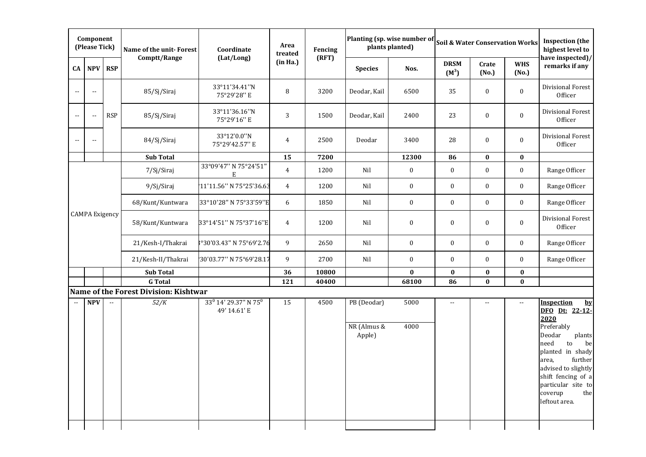|                       | Component<br>(Please Tick) |            | Name of the unit-Forest                                 | Coordinate                                                   | Area<br>treated | Fencing |                                      | Planting (sp. wise number of<br>plants planted) |                          |                  | <b>Soil &amp; Water Conservation Works</b> | <b>Inspection</b> (the<br>highest level to                                                                                                                                                                                                            |
|-----------------------|----------------------------|------------|---------------------------------------------------------|--------------------------------------------------------------|-----------------|---------|--------------------------------------|-------------------------------------------------|--------------------------|------------------|--------------------------------------------|-------------------------------------------------------------------------------------------------------------------------------------------------------------------------------------------------------------------------------------------------------|
| CA                    | <b>NPV</b>                 | <b>RSP</b> | Comptt/Range                                            | (Lat/Long)                                                   | (in Ha.)        | (RFT)   | <b>Species</b>                       | Nos.                                            | <b>DRSM</b><br>$(M^3)$   | Crate<br>(No.)   | <b>WHS</b><br>(No.)                        | have inspected)/<br>remarks if any                                                                                                                                                                                                                    |
|                       | $\mathbb{L}$               |            | 85/Sj/Siraj                                             | 33°11'34.41"N<br>75°29'28" E                                 | 8               | 3200    | Deodar, Kail                         | 6500                                            | 35                       | $\boldsymbol{0}$ | $\boldsymbol{0}$                           | Divisional Forest<br>Officer                                                                                                                                                                                                                          |
| $\overline{a}$        | $\overline{\phantom{a}}$   | <b>RSP</b> | 85/Sj/Siraj                                             | 33°11'36.16"N<br>75°29'16" E                                 | 3               | 1500    | Deodar, Kail                         | 2400                                            | 23                       | $\pmb{0}$        | $\boldsymbol{0}$                           | Divisional Forest<br>Officer                                                                                                                                                                                                                          |
|                       | $\sim$ $-$                 |            | 84/Sj/Siraj                                             | 33°12'0.0"N<br>75°29'42.57" E                                | 4               | 2500    | Deodar                               | 3400                                            | 28                       | $\boldsymbol{0}$ | $\boldsymbol{0}$                           | Divisional Forest<br>Officer                                                                                                                                                                                                                          |
|                       |                            |            | <b>Sub Total</b>                                        |                                                              | 15              | 7200    |                                      | 12300                                           | 86                       | $\bf{0}$         | $\bf{0}$                                   |                                                                                                                                                                                                                                                       |
|                       |                            |            | 7/Sj/Siraj                                              | 33°09'47" N 75°24'51"<br>Ε                                   | $\overline{4}$  | 1200    | Nil                                  | $\boldsymbol{0}$                                | $\bf{0}$                 | $\boldsymbol{0}$ | $\bf{0}$                                   | Range Officer                                                                                                                                                                                                                                         |
|                       |                            |            | 9/Sj/Siraj                                              | '11'11.56" N 75°25'36.63                                     | $\overline{4}$  | 1200    | Nil                                  | $\boldsymbol{0}$                                | $\bf{0}$                 | $\boldsymbol{0}$ | $\boldsymbol{0}$                           | Range Officer                                                                                                                                                                                                                                         |
|                       |                            |            | 68/Kunt/Kuntwara                                        | 33°10'28" N 75°33'59"E                                       | 6               | 1850    | Nil                                  | $\boldsymbol{0}$                                | $\bf{0}$                 | $\boldsymbol{0}$ | $\boldsymbol{0}$                           | Range Officer                                                                                                                                                                                                                                         |
| <b>CAMPA</b> Exigency |                            |            | 58/Kunt/Kuntwara                                        | 33°14'51" N 75°37'16"E                                       | $\overline{4}$  | 1200    | Nil                                  | $\boldsymbol{0}$                                | $\bf{0}$                 | $\bf{0}$         | $\boldsymbol{0}$                           | Divisional Forest<br>Officer                                                                                                                                                                                                                          |
|                       |                            |            | 21/Kesh-I/Thakrai                                       | °30'03.43" N 75°69'2.76                                      | 9               | 2650    | Nil                                  | $\boldsymbol{0}$                                | $\bf{0}$                 | $\mathbf{0}$     | $\boldsymbol{0}$                           | Range Officer                                                                                                                                                                                                                                         |
|                       |                            |            | 21/Kesh-II/Thakrai                                      | 30'03.77'' N 75°69'28.17'                                    | 9               | 2700    | Nil                                  | $\boldsymbol{0}$                                | $\bf{0}$                 | $\mathbf{0}$     | $\bf{0}$                                   | Range Officer                                                                                                                                                                                                                                         |
|                       |                            |            | <b>Sub Total</b>                                        |                                                              | 36              | 10800   |                                      | $\bf{0}$                                        | $\bf{0}$                 | $\bf{0}$         | $\pmb{0}$                                  |                                                                                                                                                                                                                                                       |
|                       |                            |            | <b>G</b> Total<br>Name of the Forest Division: Kishtwar |                                                              | 121             | 40400   |                                      | 68100                                           | 86                       | $\bf{0}$         | $\bf{0}$                                   |                                                                                                                                                                                                                                                       |
|                       | <b>NPV</b>                 | $\sim$     | 52/K                                                    | 33 <sup>0</sup> 14' 29.37" N 75 <sup>0</sup><br>49' 14.61' E | 15              | 4500    | PB (Deodar)<br>NR (Almus &<br>Apple) | 5000<br>4000                                    | $\overline{\phantom{a}}$ | $\overline{a}$   | $\sim$ $\sim$                              | <b>Inspection</b><br>by<br>DFO Dt: 22-12-<br>2020<br>Preferably<br>Deodar<br>plants<br>need<br>be<br>to<br>planted in shady<br>further<br>area,<br>advised to slightly<br>shift fencing of a<br>particular site to<br>coverup<br>the<br>leftout area. |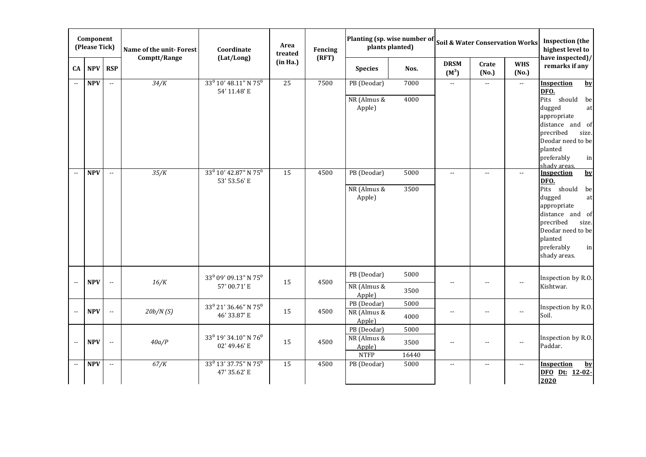|                          | Component<br>(Please Tick) |                          | Name of the unit-Forest<br>Comptt/Range | Coordinate<br>(Lat/Long)                                     | Area<br>treated | Fencing<br>(RFT) |                       | Planting (sp. wise number of<br>plants planted) |                                               |                          | <b>Soil &amp; Water Conservation Works</b> | <b>Inspection</b> (the<br>highest level to<br>have inspected)/ |
|--------------------------|----------------------------|--------------------------|-----------------------------------------|--------------------------------------------------------------|-----------------|------------------|-----------------------|-------------------------------------------------|-----------------------------------------------|--------------------------|--------------------------------------------|----------------------------------------------------------------|
| CA                       | <b>NPV</b>                 | <b>RSP</b>               |                                         |                                                              | (in Ha.)        |                  | <b>Species</b>        | Nos.                                            | <b>DRSM</b><br>$(M^3)$                        | Crate<br>(No.)           | <b>WHS</b><br>(No.)                        | remarks if any                                                 |
|                          | <b>NPV</b>                 | $\overline{\phantom{a}}$ | 34/K                                    | 33 <sup>0</sup> 10' 48.11" N 75 <sup>0</sup><br>54' 11.48' E | 25              | 7500             | PB (Deodar)           | 7000                                            | $\sim$ $\sim$                                 | $\mathbb{L}$ .           | $\sim$                                     | Inspection<br>$by$<br>DFO.                                     |
|                          |                            |                          |                                         |                                                              |                 |                  | NR (Almus &           | 4000                                            |                                               |                          |                                            | Pits should<br>be                                              |
|                          |                            |                          |                                         |                                                              |                 |                  | Apple)                |                                                 |                                               |                          |                                            | dugged<br>at                                                   |
|                          |                            |                          |                                         |                                                              |                 |                  |                       |                                                 |                                               |                          |                                            | appropriate<br>distance and of                                 |
|                          |                            |                          |                                         |                                                              |                 |                  |                       |                                                 |                                               |                          |                                            | precribed<br>size.                                             |
|                          |                            |                          |                                         |                                                              |                 |                  |                       |                                                 |                                               |                          |                                            | Deodar need to be                                              |
|                          |                            |                          |                                         |                                                              |                 |                  |                       |                                                 |                                               |                          |                                            | planted                                                        |
|                          |                            |                          |                                         |                                                              |                 |                  |                       |                                                 |                                               |                          |                                            | preferably<br>in<br>shady areas.                               |
| $\overline{\phantom{a}}$ | <b>NPV</b>                 | $\sim$                   | 35/K                                    | 33 <sup>0</sup> 10' 42.87" N 75 <sup>0</sup>                 | 15              | 4500             | PB (Deodar)           | 5000                                            | $\sim$                                        | $\overline{a}$           | $\sim$ $\sim$                              | <b>Inspection</b><br>$by$                                      |
|                          |                            |                          |                                         | 53' 53.56' E                                                 |                 |                  | NR (Almus &           | 3500                                            |                                               |                          |                                            | DFO.<br>Pits should                                            |
|                          |                            |                          |                                         |                                                              |                 |                  | Apple)                |                                                 |                                               |                          |                                            | be<br>dugged<br>at                                             |
|                          |                            |                          |                                         |                                                              |                 |                  |                       |                                                 |                                               |                          |                                            | appropriate                                                    |
|                          |                            |                          |                                         |                                                              |                 |                  |                       |                                                 |                                               |                          |                                            | distance and of                                                |
|                          |                            |                          |                                         |                                                              |                 |                  |                       |                                                 |                                               |                          |                                            | precribed<br>size.<br>Deodar need to be                        |
|                          |                            |                          |                                         |                                                              |                 |                  |                       |                                                 |                                               |                          |                                            | planted                                                        |
|                          |                            |                          |                                         |                                                              |                 |                  |                       |                                                 |                                               |                          |                                            | preferably<br>in                                               |
|                          |                            |                          |                                         |                                                              |                 |                  |                       |                                                 |                                               |                          |                                            | shady areas.                                                   |
|                          | <b>NPV</b>                 | $\overline{\phantom{a}}$ | 16/K                                    | 33 <sup>0</sup> 09' 09.13" N 75 <sup>0</sup>                 | 15              | 4500             | PB (Deodar)           | 5000                                            | $\overline{\phantom{a}}$                      | $\overline{\phantom{a}}$ | $\sim$                                     | Inspection by R.O.                                             |
|                          |                            |                          |                                         | 57' 00.71' E                                                 |                 |                  | NR (Almus &           | 3500                                            |                                               |                          |                                            | Kishtwar.                                                      |
|                          |                            |                          |                                         |                                                              |                 |                  | Apple)<br>PB (Deodar) | 5000                                            |                                               |                          |                                            |                                                                |
|                          | <b>NPV</b>                 | Ξ.                       | 20b/N(S)                                | 33 <sup>0</sup> 21' 36.46" N 75 <sup>0</sup>                 | 15              | 4500             | NR (Almus &           |                                                 | $\mathord{\hspace{1pt}\text{--}\hspace{1pt}}$ | $\sim$ $\sim$            | $\sim$ $\sim$                              | Inspection by R.O.                                             |
|                          |                            |                          |                                         | 46' 33.87' E                                                 |                 |                  | Apple)                | 4000                                            |                                               |                          |                                            | Soil.                                                          |
|                          |                            |                          |                                         |                                                              |                 |                  | PB (Deodar)           | 5000                                            |                                               |                          |                                            |                                                                |
| --                       | <b>NPV</b>                 | $\overline{a}$           | 40a/P                                   | 33 <sup>0</sup> 19' 34.10" N 76 <sup>0</sup><br>02' 49.46' E | 15              | 4500             | NR (Almus &           | 3500                                            | $\overline{a}$                                | $\overline{\phantom{a}}$ | $\overline{a}$                             | Inspection by R.O.<br>Paddar.                                  |
|                          |                            |                          |                                         |                                                              |                 |                  | Apple)<br><b>NTFP</b> | 16440                                           |                                               |                          |                                            |                                                                |
| $\sim$                   | <b>NPV</b>                 | $\sim$                   | 67/K                                    | 33 <sup>0</sup> 13' 37.75" N 75 <sup>0</sup>                 | 15              | 4500             | PB (Deodar)           | 5000                                            | $\sim$                                        | $\overline{\phantom{a}}$ | $\overline{a}$                             | <b>Inspection</b><br>$by$                                      |
|                          |                            |                          |                                         | 47' 35.62' E                                                 |                 |                  |                       |                                                 |                                               |                          |                                            | DFO Dt: 12-02-                                                 |
|                          |                            |                          |                                         |                                                              |                 |                  |                       |                                                 |                                               |                          |                                            | 2020                                                           |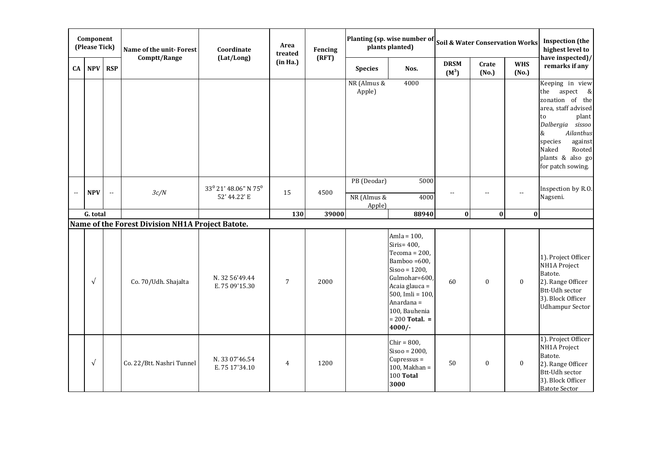|                          | Component<br>(Please Tick) |                          | Name of the unit-Forest                          | Coordinate                                      | Area<br>treated | Fencing |                                      | Planting (sp. wise number of<br>plants planted)                                                                                                                                                                    |                        |                  | <b>Soil &amp; Water Conservation Works</b> | <b>Inspection</b> (the<br>highest level to                                                                                                                                                                                 |
|--------------------------|----------------------------|--------------------------|--------------------------------------------------|-------------------------------------------------|-----------------|---------|--------------------------------------|--------------------------------------------------------------------------------------------------------------------------------------------------------------------------------------------------------------------|------------------------|------------------|--------------------------------------------|----------------------------------------------------------------------------------------------------------------------------------------------------------------------------------------------------------------------------|
| CA                       | <b>NPV</b>                 | <b>RSP</b>               | Comptt/Range                                     | (Lat/Long)                                      | (in Ha.)        | (RFT)   | <b>Species</b>                       | Nos.                                                                                                                                                                                                               | <b>DRSM</b><br>$(M^3)$ | Crate<br>(No.)   | <b>WHS</b><br>(No.)                        | have inspected)/<br>remarks if any                                                                                                                                                                                         |
|                          |                            |                          |                                                  |                                                 |                 |         | NR (Almus &<br>Apple)                | 4000                                                                                                                                                                                                               |                        |                  |                                            | Keeping in view<br>the<br>aspect &<br>zonation of the<br>area, staff advised<br>plant<br>to<br>Dalbergia sissoo<br>&<br><b>Ailanthus</b><br>species<br>against<br>Naked<br>Rooted<br>plants & also go<br>for patch sowing. |
| $\overline{\phantom{a}}$ | <b>NPV</b>                 | $\overline{\phantom{a}}$ | 3c/N                                             | $33^0$ $21'$ $48.06''$ N $75^0$<br>52' 44.22' E | 15              | 4500    | PB (Deodar)<br>NR (Almus &<br>Apple) | 5000<br>4000                                                                                                                                                                                                       | --                     | --               | $\overline{a}$                             | Inspection by R.O.<br>Nagseni.                                                                                                                                                                                             |
|                          | G. total                   |                          | Name of the Forest Division NH1A Project Batote. |                                                 | 130             | 39000   |                                      | 88940                                                                                                                                                                                                              | $\bf{0}$               | $\bf{0}$         | $\bf{0}$                                   |                                                                                                                                                                                                                            |
|                          | $\sqrt{ }$                 |                          | Co. 70/Udh. Shajalta                             | N. 32 56'49.44<br>E. 75 09'15.30                | 7               | 2000    |                                      | Amla = $100$ ,<br>Siris= $400$ ,<br>Tecoma = $200$ ,<br>Bamboo =600,<br>$Sisoo = 1200,$<br>Gulmohar=600,<br>Acaia glauca =<br>500, Imli = $100$ ,<br>Anardana =<br>100, Bauhenia<br>$= 200$ Total. $=$<br>$4000/-$ | 60                     | $\boldsymbol{0}$ | $\bf{0}$                                   | 1). Project Officer<br>NH1A Project<br>Batote.<br>2). Range Officer<br><b>Btt-Udh sector</b><br>3). Block Officer<br><b>Udhampur Sector</b>                                                                                |
|                          | $\sqrt{ }$                 |                          | Co. 22/Btt. Nashri Tunnel                        | N. 33 07'46.54<br>E. 75 17'34.10                | $\overline{4}$  | 1200    |                                      | $Chir = 800,$<br>$Sisoo = 2000,$<br>Cupressus =<br>$100$ , Makhan =<br>100 Total<br>3000                                                                                                                           | 50                     | $\boldsymbol{0}$ | $\mathbf{0}$                               | 1). Project Officer<br>NH1A Project<br>Batote.<br>2). Range Officer<br><b>Btt-Udh sector</b><br>3). Block Officer<br><b>Batote Sector</b>                                                                                  |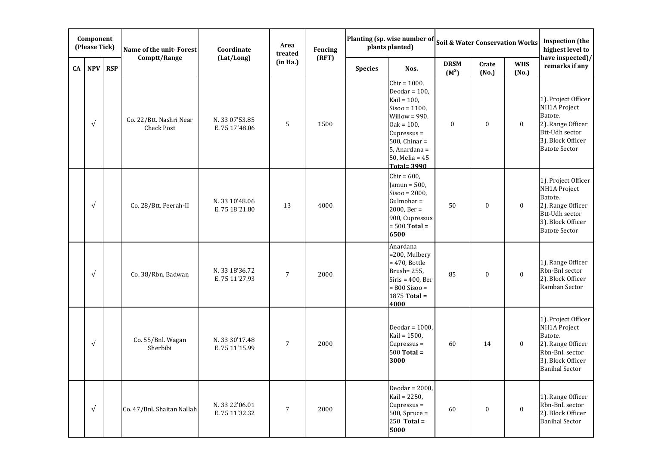|            | Component<br>(Please Tick) |            | Name of the unit-Forest               | Coordinate                       | Area<br>treated | Fencing |                | Planting (sp. wise number of<br>plants planted)                                                                                                                                                              | <b>Soil &amp; Water Conservation Works</b> |                  |                     | <b>Inspection</b> (the<br>highest level to                                                                                                |
|------------|----------------------------|------------|---------------------------------------|----------------------------------|-----------------|---------|----------------|--------------------------------------------------------------------------------------------------------------------------------------------------------------------------------------------------------------|--------------------------------------------|------------------|---------------------|-------------------------------------------------------------------------------------------------------------------------------------------|
| ${\bf CA}$ | <b>NPV</b>                 | <b>RSP</b> | Comptt/Range                          | (Lat/Long)                       | (in Ha.)        | (RFT)   | <b>Species</b> | Nos.                                                                                                                                                                                                         | <b>DRSM</b><br>$(M^3)$                     | Crate<br>(No.)   | <b>WHS</b><br>(No.) | have inspected)/<br>remarks if any                                                                                                        |
|            | $\sqrt{ }$                 |            | Co. 22/Btt. Nashri Near<br>Check Post | N. 33 07'53.85<br>E. 75 17'48.06 | 5               | 1500    |                | Chir = $1000$ ,<br>Deodar = $100$ ,<br>Kail = $100$ ,<br>$Sisoo = 1100,$<br>Willow = $990$ ,<br>$0ak = 100,$<br>Cupressus =<br>$500$ , Chinar =<br>5, Anardana =<br>$50$ , Melia = $45$<br><b>Total=3990</b> | $\boldsymbol{0}$                           | $\pmb{0}$        | $\bf{0}$            | 1). Project Officer<br>NH1A Project<br>Batote.<br>2). Range Officer<br><b>Btt-Udh sector</b><br>3). Block Officer<br><b>Batote Sector</b> |
|            | $\sqrt{ }$                 |            | Co. 28/Btt. Peerah-II                 | N. 33 10'48.06<br>E. 75 18'21.80 | 13              | 4000    |                | Chir = $600$ ,<br>Jamun = $500$ ,<br>$Sisoo = 2000,$<br>$Gulmohar =$<br>$2000$ , Ber =<br>900, Cupressus<br>$= 500$ Total $=$<br>6500                                                                        | 50                                         | $\boldsymbol{0}$ | $\bf{0}$            | 1). Project Officer<br>NH1A Project<br>Batote.<br>2). Range Officer<br>Btt-Udh sector<br>3). Block Officer<br><b>Batote Sector</b>        |
|            | $\sqrt{ }$                 |            | Co. 38/Rbn. Badwan                    | N. 33 18'36.72<br>E. 75 11'27.93 | 7               | 2000    |                | Anardana<br>=200, Mulbery<br>$= 470$ , Bottle<br>Brush= 255,<br>$Siris = 400, Ber$<br>$= 800$ Sisoo $=$<br>1875 Total =<br>4000                                                                              | 85                                         | $\pmb{0}$        | $\boldsymbol{0}$    | 1). Range Officer<br>Rbn-Bnl sector<br>2). Block Officer<br>Ramban Sector                                                                 |
|            | $\sqrt{ }$                 |            | Co. 55/Bnl. Wagan<br>Sherbibi         | N. 33 30'17.48<br>E. 75 11'15.99 | $\overline{7}$  | 2000    |                | Deodar = $1000$ ,<br>Kail = 1500,<br>Cupressus =<br>$500$ Total =<br>3000                                                                                                                                    | 60                                         | 14               | $\bf{0}$            | 1). Project Officer<br>NH1A Project<br>Batote.<br>2). Range Officer<br>Rbn-Bnl. sector<br>3). Block Officer<br><b>Banihal Sector</b>      |
|            | $\sqrt{ }$                 |            | Co. 47/Bnl. Shaitan Nallah            | N. 33 22'06.01<br>E. 75 11'32.32 | $\overline{7}$  | 2000    |                | Deodar = $2000$ ,<br>Kail = 2250,<br>Cupressus =<br>$500$ , Spruce =<br>$250$ Total =<br>5000                                                                                                                | 60                                         | $\pmb{0}$        | $\boldsymbol{0}$    | 1). Range Officer<br>Rbn-Bnl. sector<br>2). Block Officer<br><b>Banihal Sector</b>                                                        |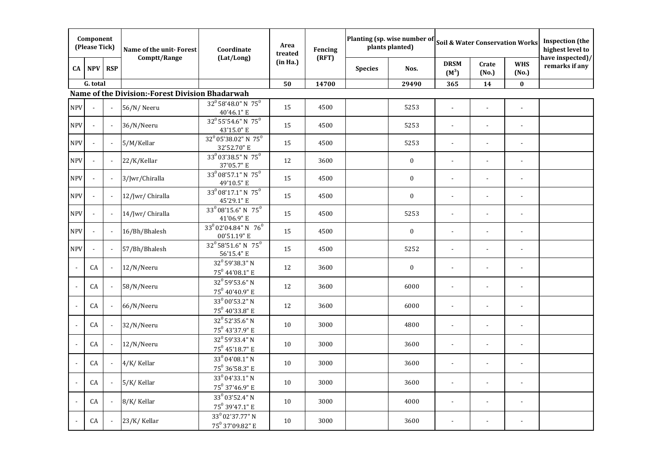|                | Component<br>(Please Tick) |                | Name of the unit-Forest                         | Coordinate                                                 | Area<br>treated | Fencing |                | Planting (sp. wise number of<br>plants planted) |                          | <b>Soil &amp; Water Conservation Works</b> |                          | <b>Inspection</b> (the<br>highest level to |
|----------------|----------------------------|----------------|-------------------------------------------------|------------------------------------------------------------|-----------------|---------|----------------|-------------------------------------------------|--------------------------|--------------------------------------------|--------------------------|--------------------------------------------|
| CA             | <b>NPV</b>                 | <b>RSP</b>     | Comptt/Range                                    | (Lat/Long)                                                 | (in Ha.)        | (RFT)   | <b>Species</b> | Nos.                                            | <b>DRSM</b><br>$(M^3)$   | Crate<br>(No.)                             | <b>WHS</b><br>(No.)      | have inspected)/<br>remarks if any         |
|                | G. total                   |                |                                                 |                                                            | 50              | 14700   |                | 29490                                           | 365                      | 14                                         | $\bf{0}$                 |                                            |
|                |                            |                | Name of the Division:-Forest Division Bhadarwah |                                                            |                 |         |                |                                                 |                          |                                            |                          |                                            |
| <b>NPV</b>     |                            | $\blacksquare$ | 56/N/Neeru                                      | $32^0$ 58'48.0" N 75 <sup>0</sup><br>40'46.1" E            | 15              | 4500    |                | 5253                                            |                          |                                            |                          |                                            |
| <b>NPV</b>     |                            |                | 36/N/Neeru                                      | $32^0$ 55'54.6" N 75 <sup>0</sup><br>43'15.0" E            | 15              | 4500    |                | 5253                                            |                          |                                            |                          |                                            |
| <b>NPV</b>     |                            | $\blacksquare$ | 5/M/Kellar                                      | 32 <sup>0</sup> 05'38.02" N 75 <sup>0</sup><br>32'52.70" E | 15              | 4500    |                | 5253                                            |                          |                                            | $\blacksquare$           |                                            |
| <b>NPV</b>     |                            | $\blacksquare$ | 22/K/Kellar                                     | 33 <sup>0</sup> 03'38.5" N 75 <sup>0</sup><br>37'05.7" E   | 12              | 3600    |                | $\bf{0}$                                        | $\blacksquare$           | $\blacksquare$                             | $\overline{a}$           |                                            |
| <b>NPV</b>     |                            | $\blacksquare$ | 3/Jwr/Chiralla                                  | 33 <sup>0</sup> 08'57.1" N 75 <sup>0</sup><br>49'10.5" E   | 15              | 4500    |                | $\bf{0}$                                        |                          |                                            | $\overline{\phantom{a}}$ |                                            |
| <b>NPV</b>     |                            | $\blacksquare$ | 12/Jwr/ Chiralla                                | 33 <sup>0</sup> 08'17.1" N 75 <sup>0</sup><br>45'29.1" E   | 15              | 4500    |                | $\mathbf{0}$                                    | $\overline{\phantom{a}}$ | $\blacksquare$                             | $\overline{\phantom{a}}$ |                                            |
| <b>NPV</b>     |                            | $\blacksquare$ | 14/Jwr/ Chiralla                                | $33^0$ 08'15.6" N 75 <sup>0</sup><br>41'06.9" E            | 15              | 4500    |                | 5253                                            |                          |                                            | $\overline{a}$           |                                            |
| <b>NPV</b>     |                            | $\blacksquare$ | 16/Bh/Bhalesh                                   | 33 <sup>0</sup> 02'04.84" N 76 <sup>0</sup><br>00'51.19" E | 15              | 4500    |                | $\bf{0}$                                        |                          |                                            | ÷,                       |                                            |
| <b>NPV</b>     |                            |                | 57/Bh/Bhalesh                                   | $32^0$ 58'51.6" N 75 <sup>0</sup><br>56'15.4" E            | 15              | 4500    |                | 5252                                            |                          |                                            |                          |                                            |
| $\blacksquare$ | CA                         | $\blacksquare$ | 12/N/Neeru                                      | $32^0$ 59'38.3" N<br>$75^0$ 44'08.1" E                     | 12              | 3600    |                | $\bf{0}$                                        |                          |                                            |                          |                                            |
|                | CA                         | $\blacksquare$ | 58/N/Neeru                                      | $32^0$ 59'53.6" N<br>$75^0$ 40'40.9" E                     | 12              | 3600    |                | 6000                                            |                          |                                            | $\overline{a}$           |                                            |
|                | CA                         | $\blacksquare$ | 66/N/Neeru                                      | $33^0$ 00'53.2" N<br>$75^0$ 40'33.8" E                     | 12              | 3600    |                | 6000                                            |                          |                                            | $\overline{a}$           |                                            |
|                | CA                         | $\blacksquare$ | 32/N/Neeru                                      | $32^0$ 52'35.6" N<br>75 <sup>0</sup> 43'37.9" E            | 10              | 3000    |                | 4800                                            | $\blacksquare$           |                                            | $\overline{a}$           |                                            |
|                | CA                         | $\blacksquare$ | 12/N/Neeru                                      | $32^0$ 59'33.4" N<br>$75^0$ 45'18.7" E                     | 10              | 3000    |                | 3600                                            |                          | $\blacksquare$                             | $\blacksquare$           |                                            |
|                | CA                         | $\sim$         | 4/K/Kellar                                      | 33 <sup>0</sup> 04'08.1" N<br>75 <sup>0</sup> 36'58.3" E   | 10              | 3000    |                | 3600                                            |                          |                                            |                          |                                            |
| $\sim$         | CA                         | $\blacksquare$ | 5/K/Kellar                                      | $33^0\,04'33.1"$ N<br>$75^0$ 37'46.9" E                    | 10              | 3000    |                | 3600                                            |                          |                                            |                          |                                            |
| $\sim$         | CA                         | $\blacksquare$ | 8/K/Kellar                                      | $33^0$ 03'52.4" N<br>$75^0$ 39'47.1" E                     | 10              | 3000    |                | 4000                                            | $\blacksquare$           |                                            | $\blacksquare$           |                                            |
|                | CA                         | $\sim$         | 23/K/Kellar                                     | 33 <sup>0</sup> 02'37.77" N<br>75° 37'09.82" E             | 10              | 3000    |                | 3600                                            | $\blacksquare$           |                                            | $\blacksquare$           |                                            |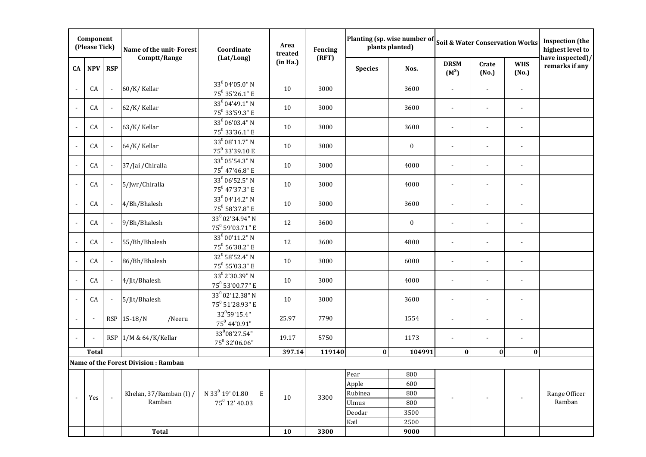|                | Component<br>(Please Tick) |                             | Name of the unit-Forest             | Coordinate                                                 | Area<br>treated | Fencing |                | Planting (sp. wise number of<br>plants planted) |                          |                | <b>Soil &amp; Water Conservation Works</b> | <b>Inspection</b> (the<br>highest level to |
|----------------|----------------------------|-----------------------------|-------------------------------------|------------------------------------------------------------|-----------------|---------|----------------|-------------------------------------------------|--------------------------|----------------|--------------------------------------------|--------------------------------------------|
| CA             | <b>NPV</b>                 | <b>RSP</b>                  | Comptt/Range                        | (Lat/Long)                                                 | (in Ha.)        | (RFT)   | <b>Species</b> | Nos.                                            | <b>DRSM</b><br>$(M^3)$   | Crate<br>(No.) | <b>WHS</b><br>(No.)                        | have inspected)/<br>remarks if any         |
| $\blacksquare$ | CA                         | $\mathcal{L}_{\mathcal{A}}$ | 60/K/Kellar                         | $33^0$ 04'05.0" N<br>$75^0$ 35'26.1" E                     | 10              | 3000    |                | 3600                                            |                          |                |                                            |                                            |
| $\sim$         | CA                         | $\sim$                      | 62/K/Kellar                         | $33^{0}04'49.1"$ N<br>75 <sup>0</sup> 33'59.3" E           | 10              | 3000    |                | 3600                                            | $\blacksquare$           |                | $\overline{\phantom{a}}$                   |                                            |
|                | CA                         | $\sim$                      | 63/K/Kellar                         | $33^0$ 06'03.4" N<br>$75^0$ 33'36.1" E                     | 10              | 3000    |                | 3600                                            | $\blacksquare$           |                | $\blacksquare$                             |                                            |
| $\sim$         | CA                         | $\blacksquare$              | 64/K/Kellar                         | $33^0 08' 11.7" N$<br>75 <sup>0</sup> 33'39.10 E           | 10              | 3000    |                | $\bf{0}$                                        | $\overline{\phantom{a}}$ |                | $\blacksquare$                             |                                            |
| $\sim$         | CA                         | $\blacksquare$              | 37/Jai / Chiralla                   | $33^0$ 05'54.3" N<br>$75^0$ 47'46.8" $\rm E$               | 10              | 3000    |                | 4000                                            | $\blacksquare$           |                | $\overline{a}$                             |                                            |
| $\sim$         | CA                         | $\blacksquare$              | 5/Jwr/Chiralla                      | $33^0$ 06'52.5" N<br>75 <sup>0</sup> 47'37.3" E            | 10              | 3000    |                | 4000                                            | $\sim$                   |                | $\blacksquare$                             |                                            |
|                | CA                         | $\blacksquare$              | 4/Bh/Bhalesh                        | $33^{0}04'14.2"$ N<br>$75^0$ 58'37.8" E                    | 10              | 3000    |                | 3600                                            | $\overline{\phantom{a}}$ |                | $\blacksquare$                             |                                            |
|                | CA                         | $\overline{\phantom{a}}$    | 9/Bh/Bhalesh                        | 33 <sup>0</sup> 02'34.94" N<br>75 <sup>0</sup> 59'03.71" E | 12              | 3600    |                | $\boldsymbol{0}$                                | $\blacksquare$           |                | $\blacksquare$                             |                                            |
|                | CA                         | $\blacksquare$              | 55/Bh/Bhalesh                       | $33^0 00' 11.2" N$<br>$75^0$ 56'38.2" E                    | 12              | 3600    |                | 4800                                            | $\blacksquare$           | $\blacksquare$ | $\blacksquare$                             |                                            |
|                | CA                         | $\blacksquare$              | 86/Bh/Bhalesh                       | $32^0$ 58'52.4" N<br>$75^0$ 55'03.3" E                     | 10              | 3000    |                | 6000                                            | $\overline{\phantom{a}}$ |                | $\blacksquare$                             |                                            |
|                | CA                         | $\blacksquare$              | 4/Jit/Bhalesh                       | 33 <sup>0</sup> 2'30.39" N<br>75 <sup>0</sup> 53'00.77" E  | 10              | 3000    |                | 4000                                            | $\blacksquare$           |                | $\blacksquare$                             |                                            |
|                | CA                         | $\blacksquare$              | 5/Jit/Bhalesh                       | 33 <sup>0</sup> 02'12.38" N<br>75 <sup>0</sup> 51'28.93" E | 10              | 3000    |                | 3600                                            |                          |                |                                            |                                            |
|                |                            |                             | RSP 15-18/N<br>/Neeru               | 32 <sup>0</sup> 59'15.4"<br>$75^0$ 44'0.91"                | 25.97           | 7790    |                | 1554                                            | $\blacksquare$           |                |                                            |                                            |
|                |                            |                             | RSP 1/M & 64/K/Kellar               | 33 <sup>0</sup> 08'27.54"<br>75 <sup>0</sup> 32'06.06"     | 19.17           | 5750    |                | 1173                                            | $\blacksquare$           |                |                                            |                                            |
|                | <b>Total</b>               |                             |                                     |                                                            | 397.14          | 119140  | $\bf{0}$       | 104991                                          | $\bf{0}$                 | $\bf{0}$       | $\bf{0}$                                   |                                            |
|                |                            |                             | Name of the Forest Division: Ramban |                                                            |                 |         |                |                                                 |                          |                |                                            |                                            |
|                |                            |                             |                                     |                                                            |                 |         | Pear           | 800                                             |                          |                |                                            |                                            |
|                |                            |                             |                                     |                                                            |                 |         | Apple          | 600                                             |                          |                |                                            |                                            |
| $\blacksquare$ |                            | $\mathbb{Z}^2$              | Khelan, 37/Ramban (I) /             | N 33 $^{0}$ 19' 01.80<br>Е                                 | $10\,$          | 3300    | Rubinea        | 800                                             |                          |                |                                            | Range Officer                              |
|                | Yes                        |                             | Ramban                              | 75 <sup>0</sup> 12' 40.03                                  |                 |         | Ulmus          | 800                                             |                          |                |                                            | Ramban                                     |
|                |                            |                             |                                     |                                                            |                 |         | Deodar         | 3500                                            |                          |                |                                            |                                            |
|                |                            |                             |                                     |                                                            |                 |         | Kail           | 2500                                            |                          |                |                                            |                                            |
|                |                            |                             | <b>Total</b>                        |                                                            | 10              | 3300    |                | 9000                                            |                          |                |                                            |                                            |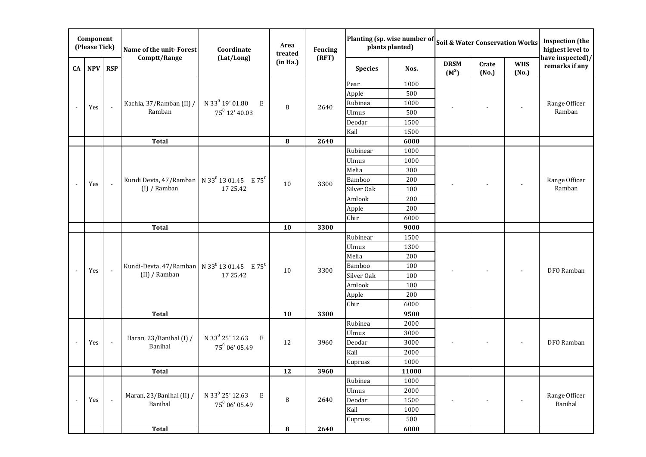|    | Component<br>(Please Tick) |                | Name of the unit-Forest                                               | Coordinate                            | Area<br>treated | Fencing |                | Planting (sp. wise number of<br>plants planted) |                        |                | <b>Soil &amp; Water Conservation Works</b> | <b>Inspection</b> (the<br>highest level to |
|----|----------------------------|----------------|-----------------------------------------------------------------------|---------------------------------------|-----------------|---------|----------------|-------------------------------------------------|------------------------|----------------|--------------------------------------------|--------------------------------------------|
| CA | NPV RSP                    |                | Comptt/Range                                                          | (Lat/Long)                            | (in Ha.)        | (RFT)   | <b>Species</b> | Nos.                                            | <b>DRSM</b><br>$(M^3)$ | Crate<br>(No.) | <b>WHS</b><br>(No.)                        | have inspected)/<br>remarks if any         |
|    |                            |                |                                                                       |                                       |                 |         | Pear           | 1000                                            |                        |                |                                            |                                            |
|    |                            |                |                                                                       |                                       |                 |         | Apple          | 500                                             |                        |                |                                            |                                            |
|    | Yes                        | $\mathbf{r}$   | Kachla, 37/Ramban (II) /                                              | N 33 $^0$ 19' 01.80<br>E              | 8               | 2640    | Rubinea        | 1000                                            |                        |                |                                            | Range Officer                              |
|    |                            |                | Ramban                                                                | 75 <sup>0</sup> 12' 40.03             |                 |         | Ulmus          | 500                                             |                        |                |                                            | Ramban                                     |
|    |                            |                |                                                                       |                                       |                 |         | Deodar         | 1500                                            |                        |                |                                            |                                            |
|    |                            |                |                                                                       |                                       |                 |         | Kail           | 1500                                            |                        |                |                                            |                                            |
|    |                            |                | <b>Total</b>                                                          |                                       | 8               | 2640    |                | 6000                                            |                        |                |                                            |                                            |
|    |                            |                |                                                                       |                                       |                 |         | Rubinear       | 1000                                            |                        |                |                                            |                                            |
|    |                            |                |                                                                       |                                       |                 |         | <b>Ulmus</b>   | 1000                                            |                        |                |                                            |                                            |
|    |                            |                |                                                                       |                                       |                 |         | Melia          | 300                                             |                        |                |                                            |                                            |
|    | Yes                        | $\mathbb{Z}^2$ | Kundi Devta, 47/Ramban   N 33 <sup>0</sup> 13 01.45 E 75 <sup>0</sup> |                                       | 10              | 3300    | <b>Bamboo</b>  | 200                                             |                        |                |                                            | Range Officer                              |
|    |                            |                | (I) / Ramban                                                          | 17 25.42                              |                 |         | Silver Oak     | 100                                             |                        |                |                                            | Ramban                                     |
|    |                            |                |                                                                       |                                       |                 |         | Amlook         | 200                                             |                        |                |                                            |                                            |
|    |                            |                |                                                                       |                                       |                 |         | Apple          | 200                                             |                        |                |                                            |                                            |
|    |                            |                |                                                                       |                                       |                 |         | Chir           | 6000                                            |                        |                |                                            |                                            |
|    |                            |                | <b>Total</b>                                                          |                                       | 10              | 3300    |                | 9000                                            |                        |                |                                            |                                            |
|    |                            |                |                                                                       |                                       |                 |         | Rubinear       | 1500                                            |                        |                |                                            |                                            |
|    |                            |                |                                                                       |                                       |                 |         | Ulmus          | 1300                                            |                        |                |                                            |                                            |
|    |                            |                |                                                                       |                                       |                 |         | Melia          | 200                                             |                        |                |                                            |                                            |
|    | Yes                        | $\mathbb{Z}^2$ | Kundi-Devta, 47/Ramban   N 33 <sup>0</sup> 13 01.45 E 75 <sup>0</sup> |                                       | 10              | 3300    | Bamboo         | 100                                             |                        |                |                                            | DFO Ramban                                 |
|    |                            |                | (II) / Ramban                                                         | 17 25.42                              |                 |         | Silver Oak     | 100                                             |                        |                |                                            |                                            |
|    |                            |                |                                                                       |                                       |                 |         | Amlook         | 100                                             |                        |                |                                            |                                            |
|    |                            |                |                                                                       |                                       |                 |         | Apple          | 200                                             |                        |                |                                            |                                            |
|    |                            |                |                                                                       |                                       |                 |         | Chir           | 6000                                            |                        |                |                                            |                                            |
|    |                            |                | <b>Total</b>                                                          |                                       | 10              | 3300    |                | 9500                                            |                        |                |                                            |                                            |
|    |                            |                |                                                                       |                                       |                 |         | Rubinea        | 2000                                            |                        |                |                                            |                                            |
|    |                            |                | Haran, 23/Banihal (I) /                                               | N 33 <sup>0</sup> 25' 12.63<br>E      |                 |         | <b>Ulmus</b>   | 3000                                            |                        |                |                                            |                                            |
|    | Yes                        | $\omega$       | Banihal                                                               | $75^0$ 06' 05.49                      | 12              | 3960    | Deodar         | 3000                                            |                        |                |                                            | DFO Ramban                                 |
|    |                            |                |                                                                       |                                       |                 |         | Kail           | 2000                                            |                        |                |                                            |                                            |
|    |                            |                |                                                                       |                                       |                 |         | Cupruss        | 1000                                            |                        |                |                                            |                                            |
|    |                            |                | <b>Total</b>                                                          |                                       | 12              | 3960    |                | 11000                                           |                        |                |                                            |                                            |
|    |                            |                |                                                                       |                                       |                 |         | Rubinea        | 1000                                            |                        |                |                                            |                                            |
|    |                            |                | Maran, 23/Banihal (II) /                                              | N 33 <sup>0</sup> 25' 12.63<br>$\,$ E |                 |         | Ulmus          | 2000                                            |                        |                |                                            | Range Officer                              |
|    | Yes                        | $\omega$       | Banihal                                                               | 75 <sup>0</sup> 06' 05.49             | 8               | 2640    | Deodar         | 1500                                            |                        |                |                                            | Banihal                                    |
|    |                            |                |                                                                       |                                       |                 |         | Kail           | 1000                                            |                        |                |                                            |                                            |
|    |                            |                |                                                                       |                                       |                 |         | Cupruss        | 500                                             |                        |                |                                            |                                            |
|    |                            |                | <b>Total</b>                                                          |                                       | ${\bf 8}$       | 2640    |                | 6000                                            |                        |                |                                            |                                            |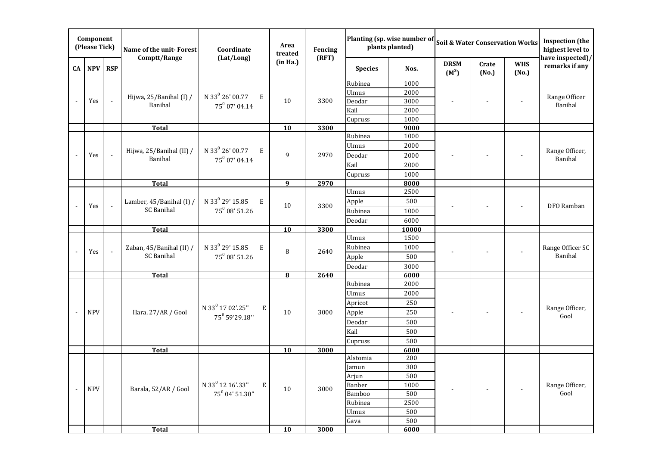| Component<br>(Please Tick) |            |                          | Name of the unit-Forest            | Coordinate                        | Area<br>treated                   | Fencing | Planting (sp. wise number of<br>plants planted) |       | <b>Soil &amp; Water Conservation Works</b> |                |                          | <b>Inspection</b> (the<br>highest level to |
|----------------------------|------------|--------------------------|------------------------------------|-----------------------------------|-----------------------------------|---------|-------------------------------------------------|-------|--------------------------------------------|----------------|--------------------------|--------------------------------------------|
| CA                         | NPV RSP    |                          | Comptt/Range                       | (Lat/Long)                        | (in Ha.)                          | (RFT)   | <b>Species</b>                                  | Nos.  | <b>DRSM</b><br>$(M^3)$                     | Crate<br>(No.) | <b>WHS</b><br>(No.)      | have inspected)/<br>remarks if any         |
|                            |            |                          |                                    |                                   |                                   | 3300    | Rubinea                                         | 1000  |                                            |                |                          | Range Officer<br>Banihal                   |
|                            |            |                          | Hijwa, 25/Banihal (I) /<br>Banihal | N 33 $^{0}$ 26' 00.77<br>E        |                                   |         | Ulmus                                           | 2000  |                                            |                |                          |                                            |
|                            | Yes        | $\overline{\phantom{a}}$ |                                    | 75 $^0$ 07' 04.14                 | 10                                |         | Deodar                                          | 3000  |                                            |                |                          |                                            |
|                            |            |                          |                                    |                                   |                                   |         | Kail                                            | 2000  |                                            |                |                          |                                            |
|                            |            |                          |                                    |                                   |                                   |         | Cupruss                                         | 1000  |                                            |                |                          |                                            |
|                            |            |                          | <b>Total</b>                       |                                   | 10                                | 3300    |                                                 | 9000  |                                            |                |                          |                                            |
|                            |            |                          |                                    |                                   |                                   |         | Rubinea                                         | 1000  |                                            |                |                          | Range Officer,                             |
|                            |            |                          | Hijwa, 25/Banihal (II) /           | N 33 <sup>0</sup> 26' 00.77<br>E  |                                   |         | <b>Ulmus</b>                                    | 2000  |                                            |                |                          |                                            |
|                            | Yes        | $\Box$                   | Banihal                            | 75 <sup>0</sup> 07' 04.14         | 9                                 | 2970    | Deodar                                          | 2000  |                                            |                |                          | Banihal                                    |
|                            |            |                          |                                    |                                   |                                   |         | Kail                                            | 2000  |                                            |                |                          |                                            |
|                            |            |                          |                                    |                                   |                                   |         | Cupruss                                         | 1000  |                                            |                |                          |                                            |
|                            |            |                          | <b>Total</b>                       |                                   | 9                                 | 2970    |                                                 | 8000  |                                            |                |                          |                                            |
|                            |            |                          |                                    |                                   |                                   |         | Ulmus                                           | 2500  |                                            |                | $\overline{\phantom{a}}$ | DFO Ramban                                 |
|                            | Yes        | $\mathbb{Z}^2$           | Lamber, 45/Banihal (I) /           | N 33 <sup>0</sup> 29' 15.85<br>E  | 10                                | 3300    | Apple                                           | 500   |                                            |                |                          |                                            |
|                            |            |                          | <b>SC Banihal</b>                  | $75^0$ 08' 51.26                  | Rubinea<br>1000<br>Deodar<br>6000 |         |                                                 |       |                                            |                |                          |                                            |
|                            |            |                          |                                    |                                   |                                   |         |                                                 |       |                                            |                |                          |                                            |
|                            |            |                          | <b>Total</b>                       |                                   | <b>10</b>                         | 3300    |                                                 | 10000 |                                            |                |                          |                                            |
|                            |            | $\overline{\phantom{a}}$ | Zaban, 45/Banihal (II) /           | N 33 <sup>0</sup> 29' 15.85<br>E  | 8                                 | 2640    | Ulmus                                           | 1500  |                                            |                |                          | Range Officer SC                           |
|                            | Yes        |                          |                                    |                                   |                                   |         | Rubinea                                         | 1000  |                                            |                |                          |                                            |
|                            |            |                          | <b>SC Banihal</b>                  | 75 <sup>0</sup> 08' 51.26         |                                   |         | Apple                                           | 500   |                                            |                | Banihal                  |                                            |
|                            |            |                          |                                    |                                   |                                   |         | Deodar                                          | 3000  |                                            |                |                          |                                            |
|                            |            |                          | <b>Total</b>                       |                                   | 8                                 | 2640    |                                                 | 6000  |                                            |                |                          |                                            |
|                            |            |                          |                                    |                                   |                                   |         | Rubinea                                         | 2000  |                                            |                |                          | Range Officer,<br>Gool                     |
|                            |            |                          |                                    |                                   |                                   |         | <b>Ulmus</b>                                    | 2000  |                                            |                |                          |                                            |
|                            |            |                          |                                    | N 33 <sup>0</sup> 17 02'.25"<br>E |                                   |         | Apricot                                         | 250   |                                            |                |                          |                                            |
|                            | <b>NPV</b> |                          | Hara, 27/AR / Gool                 | 75 <sup>0</sup> 59'29.18"         | 10                                | 3000    | Apple                                           | 250   |                                            |                |                          |                                            |
|                            |            |                          |                                    |                                   |                                   |         | Deodar                                          | 500   |                                            |                |                          |                                            |
|                            |            |                          |                                    |                                   |                                   |         | Kail                                            | 500   |                                            |                |                          |                                            |
|                            |            |                          |                                    |                                   |                                   |         | Cupruss                                         | 500   |                                            |                |                          |                                            |
|                            |            |                          | <b>Total</b>                       |                                   | 10                                | 3000    |                                                 | 6000  |                                            |                |                          |                                            |
|                            |            |                          |                                    |                                   |                                   |         | Alstomia                                        | 200   |                                            |                |                          |                                            |
|                            |            |                          |                                    |                                   | $10\,$                            | 3000    | Jamun                                           | 300   |                                            |                |                          |                                            |
|                            |            |                          |                                    |                                   |                                   |         | Arjun                                           | 500   |                                            |                |                          |                                            |
| $\sim$                     | <b>NPV</b> |                          | Barala, 52/AR / Gool               | N 33 <sup>0</sup> 12 16'.33"<br>E |                                   |         | Banber                                          | 1000  |                                            |                | $\overline{\phantom{a}}$ | Range Officer,<br>Gool                     |
|                            |            |                          |                                    | 75 <sup>0</sup> 04' 51.30"        |                                   |         | Bamboo                                          | 500   |                                            |                |                          |                                            |
|                            |            |                          |                                    |                                   |                                   |         | Rubinea                                         | 2500  |                                            |                |                          |                                            |
|                            |            |                          |                                    |                                   |                                   |         | Ulmus                                           | 500   |                                            |                |                          |                                            |
|                            |            |                          |                                    |                                   |                                   |         | Gava                                            | 500   |                                            |                |                          |                                            |
|                            |            |                          | <b>Total</b>                       |                                   | 10                                | 3000    |                                                 | 6000  |                                            |                |                          |                                            |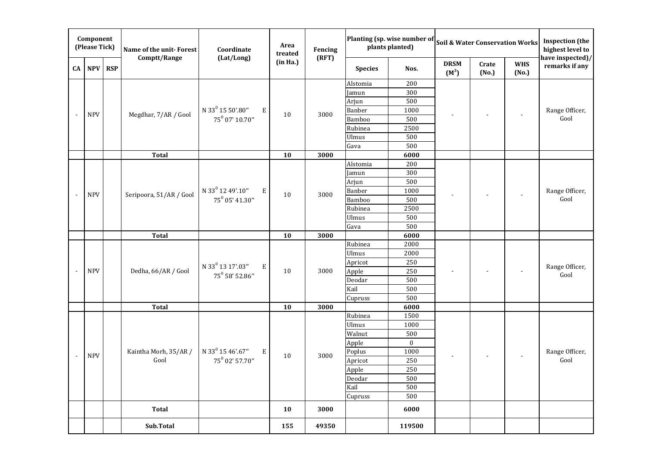| Component<br>(Please Tick) |            |            | Name of the unit-Forest             | Coordinate                        | Area<br>treated | Planting (sp. wise number of<br><b>Soil &amp; Water Conservation Works</b><br>plants planted)<br>Fencing |                  |              |                        |                |                     | <b>Inspection</b> (the<br>highest level to |
|----------------------------|------------|------------|-------------------------------------|-----------------------------------|-----------------|----------------------------------------------------------------------------------------------------------|------------------|--------------|------------------------|----------------|---------------------|--------------------------------------------|
| CA                         | <b>NPV</b> | <b>RSP</b> | Comptt/Range                        | (Lat/Long)                        | (in Ha.)        | (RFT)                                                                                                    | <b>Species</b>   | Nos.         | <b>DRSM</b><br>$(M^3)$ | Crate<br>(No.) | <b>WHS</b><br>(No.) | have inspected)/<br>remarks if any         |
|                            |            |            |                                     |                                   |                 |                                                                                                          | Alstomia         | 200          |                        |                |                     |                                            |
|                            |            |            |                                     |                                   |                 |                                                                                                          | Jamun            | 300          |                        |                |                     |                                            |
|                            |            |            |                                     |                                   |                 |                                                                                                          | Arjun            | 500          |                        |                |                     | Range Officer,<br>Gool                     |
|                            | <b>NPV</b> |            | Megdhar, 7/AR / Gool                | N 33 <sup>0</sup> 15 50'.80"<br>E | 10              | 3000                                                                                                     | <b>Banber</b>    | 1000         |                        |                |                     |                                            |
|                            |            |            |                                     | 75 <sup>0</sup> 07' 10.70"        |                 |                                                                                                          | <b>Bamboo</b>    | 500          |                        |                |                     |                                            |
|                            |            |            |                                     |                                   |                 |                                                                                                          | Rubinea          | 2500         |                        |                |                     |                                            |
|                            |            |            |                                     |                                   |                 |                                                                                                          | <b>Ulmus</b>     | 500          |                        |                |                     |                                            |
|                            |            |            |                                     |                                   |                 |                                                                                                          | Gava             | 500          |                        |                |                     |                                            |
|                            |            |            | <b>Total</b>                        |                                   | 10              | 3000                                                                                                     |                  | 6000         |                        |                |                     |                                            |
|                            |            |            |                                     |                                   |                 |                                                                                                          | Alstomia         | 200          |                        |                |                     | Range Officer,<br>Gool                     |
|                            |            |            |                                     |                                   |                 |                                                                                                          | Jamun            | 300          |                        |                |                     |                                            |
|                            |            |            |                                     |                                   |                 |                                                                                                          | Arjun            | 500          |                        |                |                     |                                            |
|                            | <b>NPV</b> |            | Seripoora, 51/AR / Gool             | N 33 <sup>0</sup> 12 49'.10"<br>E | 10              | 3000                                                                                                     | <b>Banber</b>    | 1000<br>500  |                        |                |                     |                                            |
|                            |            |            |                                     | 75 <sup>0</sup> 05' 41.30"        |                 |                                                                                                          | Bamboo           |              |                        |                |                     |                                            |
|                            |            |            |                                     |                                   |                 |                                                                                                          | Rubinea          | 2500         |                        |                |                     |                                            |
|                            |            |            |                                     |                                   |                 |                                                                                                          | <b>Ulmus</b>     | 500          |                        |                |                     |                                            |
|                            |            |            |                                     |                                   |                 |                                                                                                          | Gava             | 500          |                        |                |                     |                                            |
|                            |            |            | <b>Total</b><br>Dedha, 66/AR / Gool |                                   | 10              | 3000<br>3000                                                                                             |                  | 6000         |                        |                |                     | Range Officer,<br>Gool                     |
|                            |            |            |                                     |                                   |                 |                                                                                                          | Rubinea          | 2000<br>2000 |                        |                |                     |                                            |
|                            |            |            |                                     |                                   |                 |                                                                                                          | Ulmus            | 250          |                        |                |                     |                                            |
|                            | <b>NPV</b> |            |                                     | N 33 <sup>0</sup> 13 17'.03"<br>E | 10              |                                                                                                          | Apricot<br>Apple | 250          |                        |                |                     |                                            |
|                            |            |            |                                     | 75 <sup>0</sup> 58' 52.86"        |                 |                                                                                                          | Deodar           | 500          |                        |                |                     |                                            |
|                            |            |            |                                     |                                   |                 |                                                                                                          | Kail             | 500          |                        |                |                     |                                            |
|                            |            |            |                                     |                                   |                 |                                                                                                          | Cupruss          | 500          |                        |                |                     |                                            |
|                            |            |            | <b>Total</b>                        |                                   | 10              | 3000                                                                                                     |                  | 6000         |                        |                |                     |                                            |
|                            |            |            |                                     |                                   |                 |                                                                                                          | Rubinea          | 1500         |                        |                |                     |                                            |
|                            |            |            |                                     |                                   |                 |                                                                                                          | Ulmus            | 1000         |                        |                |                     | Range Officer,<br>Gool                     |
|                            |            |            |                                     |                                   |                 |                                                                                                          | Walnut           | 500          |                        |                |                     |                                            |
|                            |            |            |                                     |                                   |                 |                                                                                                          | Apple            | $\mathbf{0}$ |                        |                |                     |                                            |
|                            |            |            | Kaintha Morh, 35/AR /               | N 33 <sup>0</sup> 15 46'.67"<br>E |                 |                                                                                                          | Poplus           | 1000         |                        |                |                     |                                            |
|                            | <b>NPV</b> |            | Gool                                | 75 <sup>0</sup> 02' 57.70"        | 10              | 3000                                                                                                     | Apricot          | 250          |                        |                |                     |                                            |
|                            |            |            |                                     |                                   |                 |                                                                                                          | Apple            | 250          |                        |                |                     |                                            |
|                            |            |            |                                     |                                   |                 |                                                                                                          | Deodar           | 500          |                        |                |                     |                                            |
|                            |            |            |                                     |                                   |                 |                                                                                                          | Kail             | 500          |                        |                |                     |                                            |
|                            |            |            |                                     |                                   |                 |                                                                                                          | Cupruss          | 500          |                        |                |                     |                                            |
|                            |            |            | Total                               |                                   | 10              | 3000                                                                                                     |                  | 6000         |                        |                |                     |                                            |
|                            |            |            | Sub.Total                           |                                   | 155             | 49350                                                                                                    |                  | 119500       |                        |                |                     |                                            |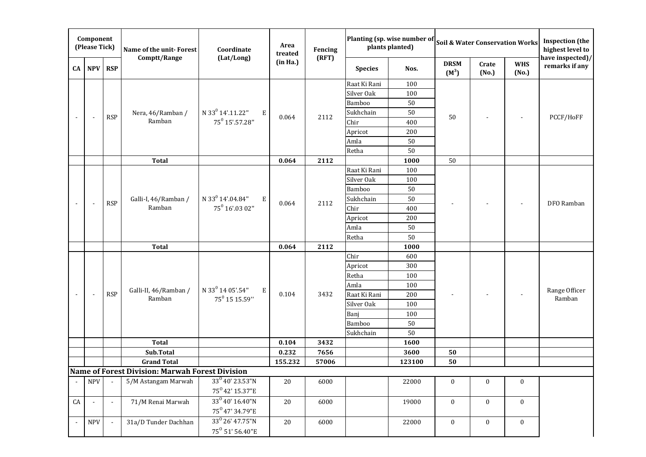| Component<br>(Please Tick) |                          |                | Name of the unit-Forest                         | Coordinate                                                     | Area<br>treated | Fencing      | Planting (sp. wise number of<br><b>Soil &amp; Water Conservation Works</b><br>plants planted) |        |                        |                  |                     | <b>Inspection</b> (the<br>highest level to |
|----------------------------|--------------------------|----------------|-------------------------------------------------|----------------------------------------------------------------|-----------------|--------------|-----------------------------------------------------------------------------------------------|--------|------------------------|------------------|---------------------|--------------------------------------------|
| CA                         | <b>NPV</b>               | <b>RSP</b>     | Comptt/Range                                    | (Lat/Long)                                                     | (in Ha.)        | (RFT)        | <b>Species</b>                                                                                | Nos.   | <b>DRSM</b><br>$(M^3)$ | Crate<br>(No.)   | <b>WHS</b><br>(No.) | have inspected)/<br>remarks if any         |
|                            |                          |                |                                                 |                                                                |                 |              | Raat Ki Rani                                                                                  | 100    |                        |                  |                     | PCCF/HoFF                                  |
|                            |                          |                |                                                 |                                                                |                 |              | Silver Oak                                                                                    | 100    |                        |                  |                     |                                            |
|                            |                          |                |                                                 |                                                                |                 |              | Bamboo                                                                                        | 50     |                        |                  |                     |                                            |
|                            | $\overline{\phantom{a}}$ | <b>RSP</b>     | Nera, 46/Ramban /                               | N 33 <sup>0</sup> 14'.11.22"<br>Ε                              | 0.064           | 2112         | Sukhchain                                                                                     | $50\,$ | 50                     |                  |                     |                                            |
|                            |                          |                | Ramban                                          | 75 <sup>0</sup> 15'.57.28"                                     |                 |              | Chir                                                                                          | 400    |                        |                  |                     |                                            |
|                            |                          |                |                                                 |                                                                |                 |              | Apricot                                                                                       | 200    |                        |                  |                     |                                            |
|                            |                          |                |                                                 |                                                                |                 |              | Amla                                                                                          | 50     |                        |                  |                     |                                            |
|                            |                          |                |                                                 |                                                                |                 |              | Retha                                                                                         | 50     |                        |                  |                     |                                            |
|                            |                          |                | <b>Total</b>                                    |                                                                | 0.064           | 2112         |                                                                                               | 1000   | 50                     |                  |                     |                                            |
|                            |                          |                |                                                 |                                                                |                 |              | Raat Ki Rani                                                                                  | 100    |                        |                  |                     | DFO Ramban                                 |
|                            |                          |                |                                                 |                                                                |                 |              | Silver Oak                                                                                    | 100    |                        |                  |                     |                                            |
|                            |                          |                |                                                 |                                                                |                 |              | <b>Bamboo</b>                                                                                 | $50\,$ |                        |                  |                     |                                            |
|                            | $\overline{\phantom{a}}$ | <b>RSP</b>     | Galli-I, 46/Ramban /                            | N 33 <sup>0</sup> 14'.04.84"<br>Ε                              | 0.064           | 2112         | Sukhchain                                                                                     | $50\,$ |                        |                  |                     |                                            |
|                            |                          |                | Ramban                                          | 75 <sup>0</sup> 16'.03 02"                                     |                 |              | Chir                                                                                          | 400    |                        |                  |                     |                                            |
|                            |                          |                |                                                 |                                                                |                 |              | Apricot                                                                                       | 200    |                        |                  |                     |                                            |
|                            |                          |                |                                                 |                                                                |                 |              | Amla                                                                                          | 50     |                        |                  |                     |                                            |
|                            |                          |                |                                                 |                                                                |                 |              | Retha                                                                                         | 50     |                        |                  |                     |                                            |
|                            |                          |                | <b>Total</b>                                    |                                                                | 0.064           | 2112         |                                                                                               | 1000   |                        |                  |                     |                                            |
|                            |                          |                |                                                 |                                                                |                 |              | Chir                                                                                          | 600    |                        |                  |                     | Range Officer<br>Ramban                    |
|                            |                          |                |                                                 |                                                                |                 |              | Apricot                                                                                       | 300    |                        |                  |                     |                                            |
|                            |                          |                |                                                 |                                                                |                 |              | Retha                                                                                         | 100    |                        |                  |                     |                                            |
|                            |                          |                | Galli-II, 46/Ramban /<br>Ramban                 | N 33 <sup>0</sup> 14 05'.54"<br>Ε<br>75 <sup>0</sup> 15 15.59" | 0.104           | 3432         | Amla                                                                                          | 100    |                        |                  |                     |                                            |
|                            | $\blacksquare$           | <b>RSP</b>     |                                                 |                                                                |                 |              | Raat Ki Rani                                                                                  | 200    |                        |                  |                     |                                            |
|                            |                          |                |                                                 |                                                                |                 |              | Silver Oak                                                                                    | 100    |                        |                  |                     |                                            |
|                            |                          |                |                                                 |                                                                |                 |              | Banj                                                                                          | 100    |                        |                  |                     |                                            |
|                            |                          |                |                                                 |                                                                |                 |              | Bamboo                                                                                        | 50     |                        |                  |                     |                                            |
|                            |                          |                |                                                 |                                                                |                 |              | Sukhchain                                                                                     | 50     |                        |                  |                     |                                            |
|                            |                          |                | <b>Total</b><br>Sub.Total                       |                                                                | 0.104<br>0.232  | 3432<br>7656 |                                                                                               | 1600   |                        |                  |                     |                                            |
|                            |                          |                | <b>Grand Total</b>                              |                                                                | 155.232         | 57006        |                                                                                               | 3600   | 50<br>50               |                  |                     |                                            |
|                            |                          |                | Name of Forest Division: Marwah Forest Division |                                                                |                 |              |                                                                                               | 123100 |                        |                  |                     |                                            |
|                            |                          |                | 5/M Astangam Marwah                             | $33^{0}$ 40' 23.53"N                                           | 20              |              |                                                                                               |        |                        |                  |                     |                                            |
| $\sim$                     | <b>NPV</b>               | $\blacksquare$ |                                                 | 75 <sup>0</sup> 42' 15.37"E                                    |                 | 6000         |                                                                                               | 22000  | $\boldsymbol{0}$       | $\bf{0}$         | $\mathbf{0}$        |                                            |
|                            |                          |                |                                                 | 33 <sup>0</sup> 40' 16.40"N                                    |                 |              |                                                                                               |        |                        |                  |                     |                                            |
| CA                         |                          | $\blacksquare$ | 71/M Renai Marwah                               | 75 <sup>0</sup> 47' 34.79"E                                    | 20              | 6000         |                                                                                               | 19000  | $\bf{0}$               | $\pmb{0}$        | $\boldsymbol{0}$    |                                            |
|                            |                          |                |                                                 |                                                                |                 |              |                                                                                               |        |                        |                  |                     |                                            |
|                            | <b>NPV</b>               | $\omega$       | 31a/D Tunder Dachhan                            | 33 <sup>0</sup> 26' 47.75"N                                    | 20              | 6000         |                                                                                               | 22000  | $\bf{0}$               | $\boldsymbol{0}$ | $\boldsymbol{0}$    |                                            |
|                            |                          |                |                                                 | 75 <sup>0</sup> 51' 56.40"E                                    |                 |              |                                                                                               |        |                        |                  |                     |                                            |